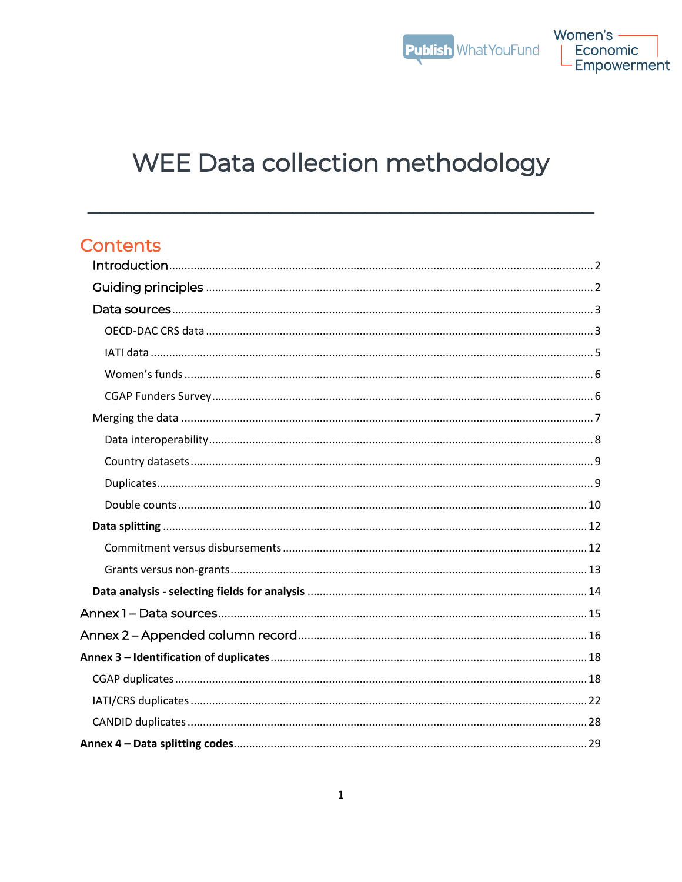# WEE Data collection methodology

## **Contents**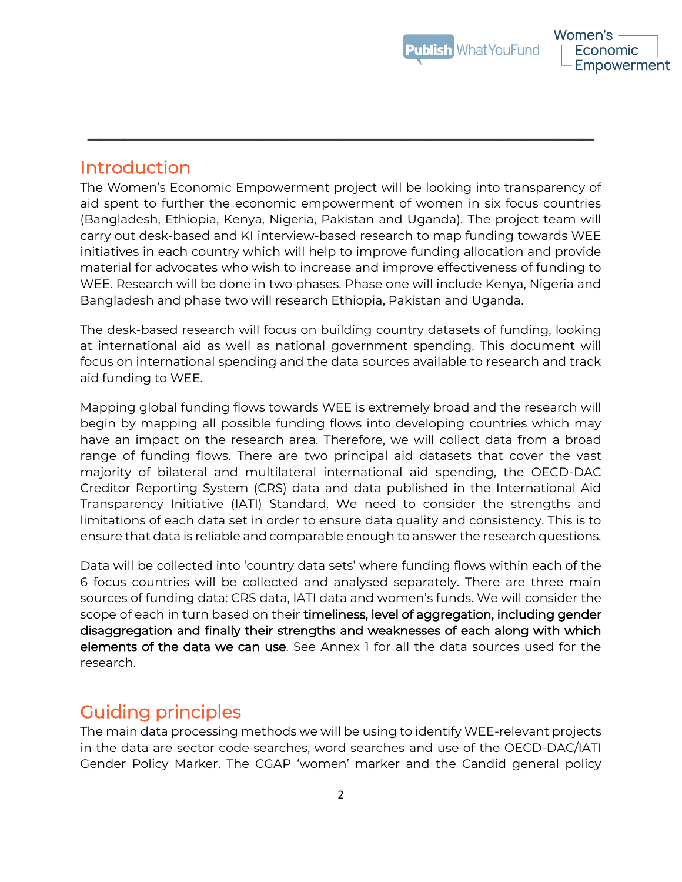## <span id="page-1-0"></span>Introduction

The Women's Economic Empowerment project will be looking into transparency of aid spent to further the economic empowerment of women in six focus countries (Bangladesh, Ethiopia, Kenya, Nigeria, Pakistan and Uganda). The project team will carry out desk-based and KI interview-based research to map funding towards WEE initiatives in each country which will help to improve funding allocation and provide material for advocates who wish to increase and improve effectiveness of funding to WEE. Research will be done in two phases. Phase one will include Kenya, Nigeria and Bangladesh and phase two will research Ethiopia, Pakistan and Uganda.

 $\overline{\phantom{a}}$  , and the contract of the contract of the contract of the contract of the contract of the contract of the contract of the contract of the contract of the contract of the contract of the contract of the contrac

The desk-based research will focus on building country datasets of funding, looking at international aid as well as national government spending. This document will focus on international spending and the data sources available to research and track aid funding to WEE.

Mapping global funding flows towards WEE is extremely broad and the research will begin by mapping all possible funding flows into developing countries which may have an impact on the research area. Therefore, we will collect data from a broad range of funding flows. There are two principal aid datasets that cover the vast majority of bilateral and multilateral international aid spending, the OECD-DAC Creditor Reporting System (CRS) data and data published in the International Aid Transparency Initiative (IATI) Standard. We need to consider the strengths and limitations of each data set in order to ensure data quality and consistency. This is to ensure that data is reliable and comparable enough to answer the research questions.

Data will be collected into 'country data sets' where funding flows within each of the 6 focus countries will be collected and analysed separately. There are three main sources of funding data: CRS data, IATI data and women's funds. We will consider the scope of each in turn based on their timeliness, level of aggregation, including gender disaggregation and finally their strengths and weaknesses of each along with which elements of the data we can use. See Annex 1 for all the data sources used for the research.

## <span id="page-1-1"></span>Guiding principles

The main data processing methods we will be using to identify WEE-relevant projects in the data are sector code searches, word searches and use of the OECD-DAC/IATI Gender Policy Marker. The CGAP 'women' marker and the Candid general policy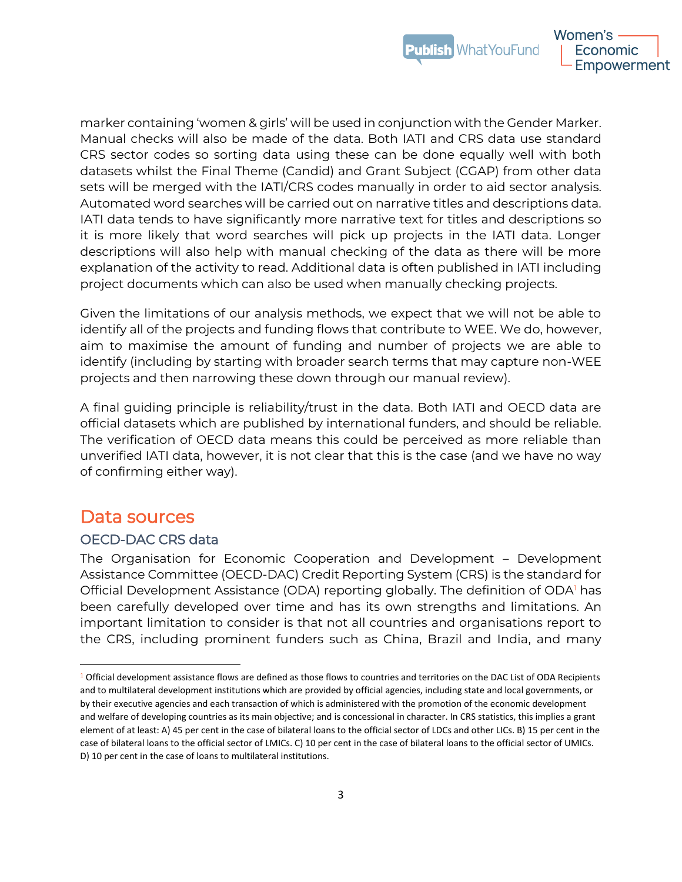marker containing 'women & girls' will be used in conjunction with the Gender Marker. Manual checks will also be made of the data. Both IATI and CRS data use standard CRS sector codes so sorting data using these can be done equally well with both datasets whilst the Final Theme (Candid) and Grant Subject (CGAP) from other data sets will be merged with the IATI/CRS codes manually in order to aid sector analysis. Automated word searches will be carried out on narrative titles and descriptions data. IATI data tends to have significantly more narrative text for titles and descriptions so it is more likely that word searches will pick up projects in the IATI data. Longer descriptions will also help with manual checking of the data as there will be more explanation of the activity to read. Additional data is often published in IATI including project documents which can also be used when manually checking projects.

Given the limitations of our analysis methods, we expect that we will not be able to identify all of the projects and funding flows that contribute to WEE. We do, however, aim to maximise the amount of funding and number of projects we are able to identify (including by starting with broader search terms that may capture non-WEE projects and then narrowing these down through our manual review).

A final guiding principle is reliability/trust in the data. Both IATI and OECD data are official datasets which are published by international funders, and should be reliable. The verification of OECD data means this could be perceived as more reliable than unverified IATI data, however, it is not clear that this is the case (and we have no way of confirming either way).

## <span id="page-2-0"></span>Data sources

 $\overline{\phantom{a}}$ 

## <span id="page-2-1"></span>OECD-DAC CRS data

The Organisation for Economic Cooperation and Development – Development Assistance Committee (OECD-DAC) Credit Reporting System (CRS) is the standard for Official Development Assistance (ODA) reporting globally. The definition of ODA<sup>1</sup> has been carefully developed over time and has its own strengths and limitations. An important limitation to consider is that not all countries and organisations report to the CRS, including prominent funders such as China, Brazil and India, and many

<sup>1</sup> Official development assistance flows are defined as those flows to countries and territories on the DAC List of ODA Recipients and to multilateral development institutions which are provided by official agencies, including state and local governments, or by their executive agencies and each transaction of which is administered with the promotion of the economic development and welfare of developing countries as its main objective; and is concessional in character. In CRS statistics, this implies a grant element of at least: A) 45 per cent in the case of bilateral loans to the official sector of LDCs and other LICs. B) 15 per cent in the case of bilateral loans to the official sector of LMICs. C) 10 per cent in the case of bilateral loans to the official sector of UMICs. D) 10 per cent in the case of loans to multilateral institutions.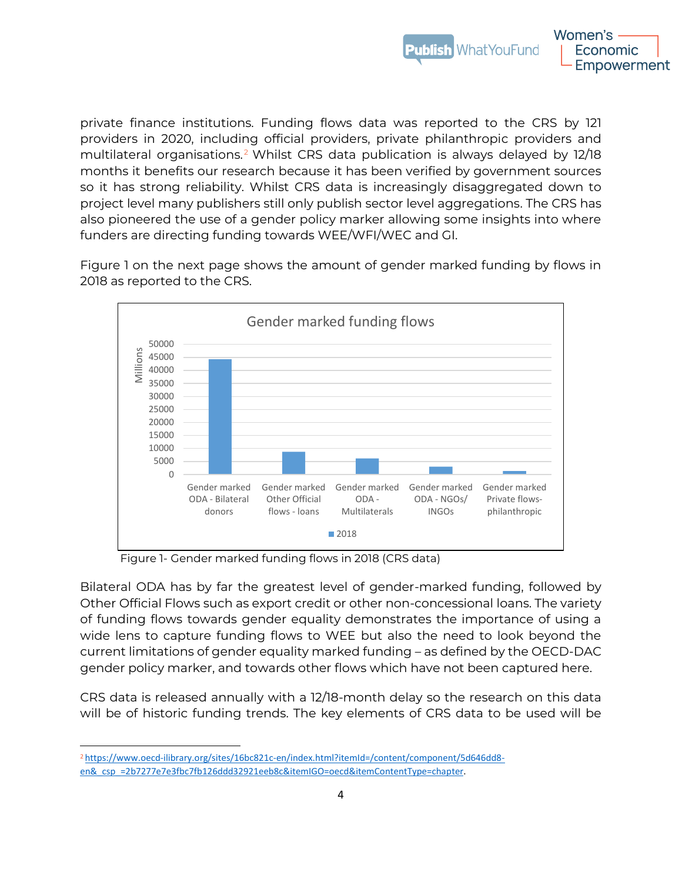

private finance institutions. Funding flows data was reported to the CRS by 121 providers in 2020, including official providers, private philanthropic providers and multilateral organisations.<sup>2</sup> Whilst CRS data publication is always delayed by 12/18 months it benefits our research because it has been verified by government sources so it has strong reliability. Whilst CRS data is increasingly disaggregated down to project level many publishers still only publish sector level aggregations. The CRS has also pioneered the use of a gender policy marker allowing some insights into where funders are directing funding towards WEE/WFI/WEC and GI.

Figure 1 on the next page shows the amount of gender marked funding by flows in 2018 as reported to the CRS.



Figure 1- Gender marked funding flows in 2018 (CRS data)

Bilateral ODA has by far the greatest level of gender-marked funding, followed by Other Official Flows such as export credit or other non-concessional loans. The variety of funding flows towards gender equality demonstrates the importance of using a wide lens to capture funding flows to WEE but also the need to look beyond the current limitations of gender equality marked funding – as defined by the OECD-DAC gender policy marker, and towards other flows which have not been captured here.

CRS data is released annually with a 12/18-month delay so the research on this data will be of historic funding trends. The key elements of CRS data to be used will be

 $\overline{\phantom{a}}$ 

<sup>2</sup> [https://www.oecd-ilibrary.org/sites/16bc821c-en/index.html?itemId=/content/component/5d646dd8](https://www.oecd-ilibrary.org/sites/16bc821c-en/index.html?itemId=/content/component/5d646dd8-en&_csp_=2b7277e7e3fbc7fb126ddd32921eeb8c&itemIGO=oecd&itemContentType=chapter) [en&\\_csp\\_=2b7277e7e3fbc7fb126ddd32921eeb8c&itemIGO=oecd&itemContentType=chapter.](https://www.oecd-ilibrary.org/sites/16bc821c-en/index.html?itemId=/content/component/5d646dd8-en&_csp_=2b7277e7e3fbc7fb126ddd32921eeb8c&itemIGO=oecd&itemContentType=chapter)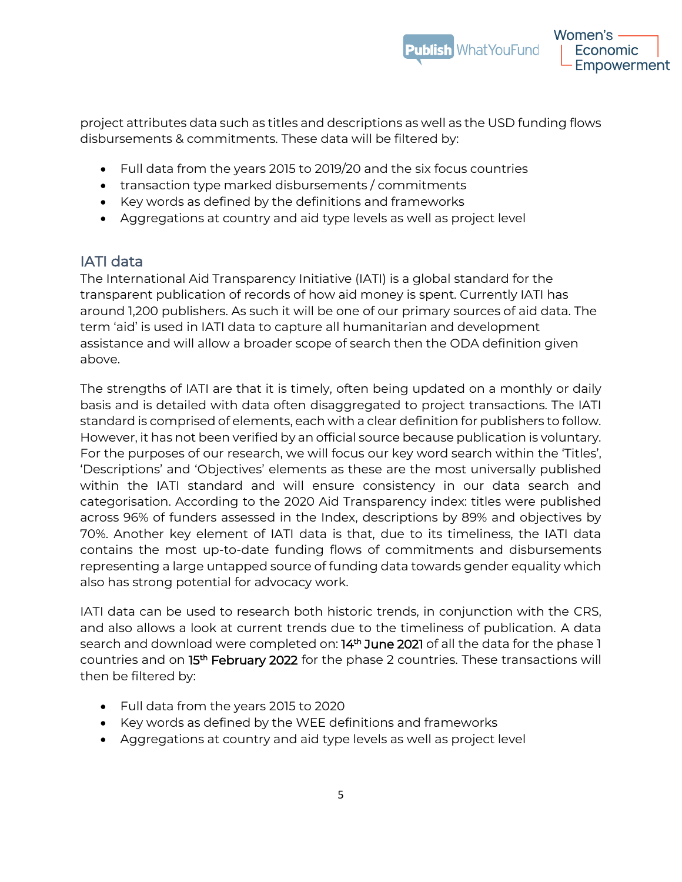Women's -**Economic Empowerment** 

project attributes data such as titles and descriptions as well as the USD funding flows disbursements & commitments. These data will be filtered by:

- Full data from the years 2015 to 2019/20 and the six focus countries
- transaction type marked disbursements / commitments
- Key words as defined by the definitions and frameworks
- Aggregations at country and aid type levels as well as project level

### <span id="page-4-0"></span>IATI data

The International Aid Transparency Initiative (IATI) is a global standard for the transparent publication of records of how aid money is spent. Currently IATI has around 1,200 publishers. As such it will be one of our primary sources of aid data. The term 'aid' is used in IATI data to capture all humanitarian and development assistance and will allow a broader scope of search then the ODA definition given above.

The strengths of IATI are that it is timely, often being updated on a monthly or daily basis and is detailed with data often disaggregated to project transactions. The IATI standard is comprised of elements, each with a clear definition for publishers to follow. However, it has not been verified by an official source because publication is voluntary. For the purposes of our research, we will focus our key word search within the 'Titles', 'Descriptions' and 'Objectives' elements as these are the most universally published within the IATI standard and will ensure consistency in our data search and categorisation. According to the 2020 Aid Transparency index: titles were published across 96% of funders assessed in the Index, descriptions by 89% and objectives by 70%. Another key element of IATI data is that, due to its timeliness, the IATI data contains the most up-to-date funding flows of commitments and disbursements representing a large untapped source of funding data towards gender equality which also has strong potential for advocacy work.

IATI data can be used to research both historic trends, in conjunction with the CRS, and also allows a look at current trends due to the timeliness of publication. A data search and download were completed on: **14<sup>th</sup> June 2021** of all the data for the phase 1 countries and on 15<sup>th</sup> February 2022 for the phase 2 countries. These transactions will then be filtered by:

- Full data from the years 2015 to 2020
- Key words as defined by the WEE definitions and frameworks
- Aggregations at country and aid type levels as well as project level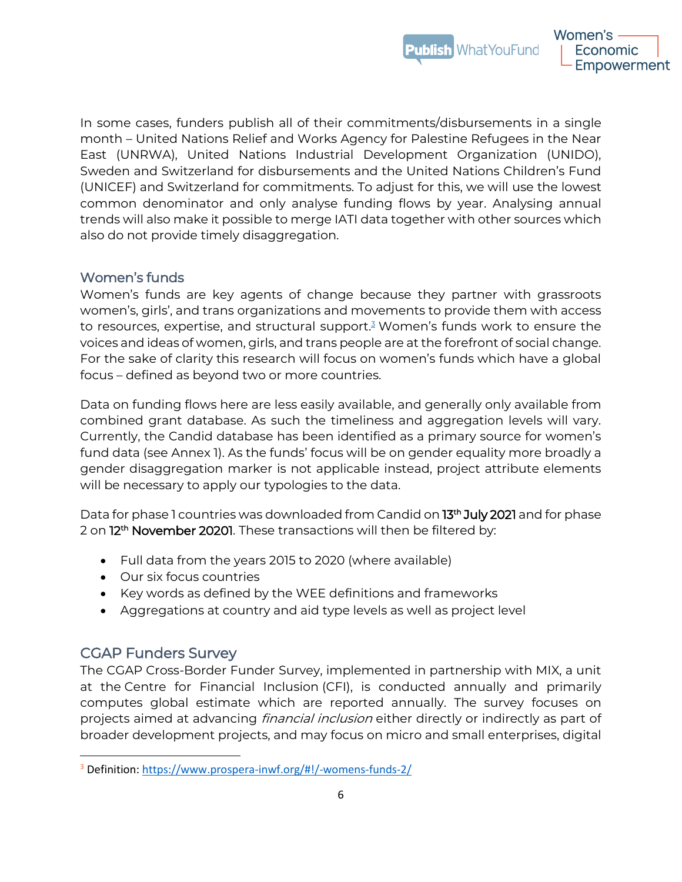In some cases, funders publish all of their commitments/disbursements in a single month – United Nations Relief and Works Agency for Palestine Refugees in the Near East (UNRWA), United Nations Industrial Development Organization (UNIDO), Sweden and Switzerland for disbursements and the United Nations Children's Fund (UNICEF) and Switzerland for commitments. To adjust for this, we will use the lowest common denominator and only analyse funding flows by year. Analysing annual trends will also make it possible to merge IATI data together with other sources which also do not provide timely disaggregation.

### <span id="page-5-0"></span>Women's funds

Women's funds are key agents of change because they partner with grassroots women's, girls', and trans organizations and movements to provide them with access to resources, expertise, and structural support. <sup>3</sup> Women's funds work to ensure the voices and ideas of women, girls, and trans people are at the forefront of social change. For the sake of clarity this research will focus on women's funds which have a global focus – defined as beyond two or more countries.

Data on funding flows here are less easily available, and generally only available from combined grant database. As such the timeliness and aggregation levels will vary. Currently, the Candid database has been identified as a primary source for women's fund data (see Annex 1). As the funds' focus will be on gender equality more broadly a gender disaggregation marker is not applicable instead, project attribute elements will be necessary to apply our typologies to the data.

Data for phase 1 countries was downloaded from Candid on 13<sup>th</sup> July 2021 and for phase 2 on **12<sup>th</sup> November 20201**. These transactions will then be filtered by:

- Full data from the years 2015 to 2020 (where available)
- Our six focus countries
- Key words as defined by the WEE definitions and frameworks
- Aggregations at country and aid type levels as well as project level

## <span id="page-5-1"></span>CGAP Funders Survey

 $\overline{\phantom{a}}$ 

The CGAP Cross-Border Funder Survey, implemented in partnership with MIX, a unit at the Centre [for Financial Inclusion](https://www.centerforfinancialinclusion.org/) (CFI), is conducted annually and primarily computes global estimate which are reported annually. The survey focuses on projects aimed at advancing *financial inclusion* either directly or indirectly as part of broader development projects, and may focus on micro and small enterprises, digital

<sup>3</sup> Definition[: https://www.prospera-inwf.org/#!/-womens-funds-2/](https://www.prospera-inwf.org/#!/-womens-funds-2/)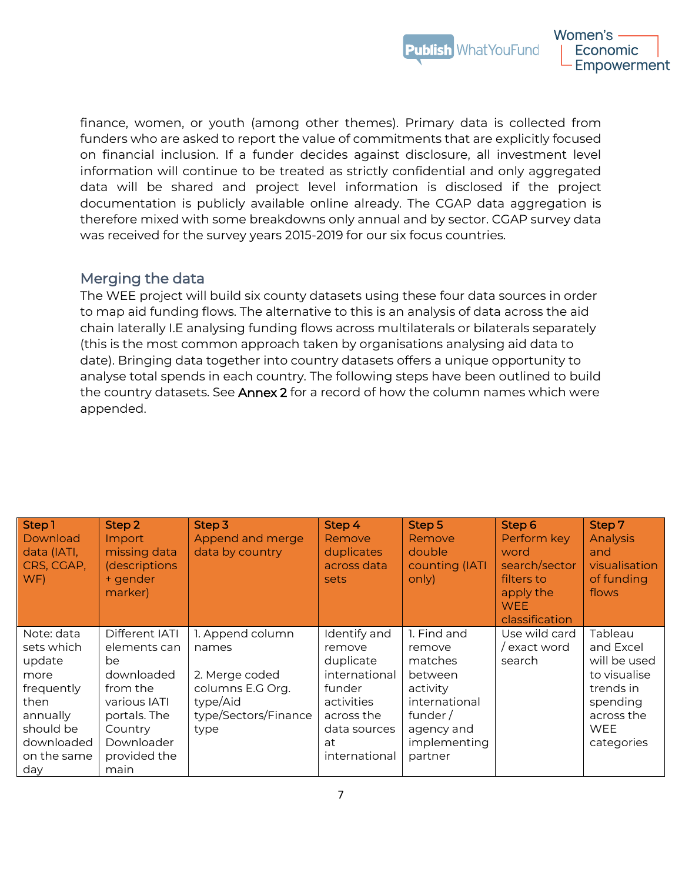finance, women, or youth (among other themes). Primary data is collected from funders who are asked to report the value of commitments that are explicitly focused on financial inclusion. If a funder decides against disclosure, all investment level information will continue to be treated as strictly confidential and only aggregated data will be shared and project level information is disclosed if the project documentation is publicly available online already. The CGAP data aggregation is therefore mixed with some breakdowns only annual and by sector. CGAP survey data was received for the survey years 2015-2019 for our six focus countries.

### <span id="page-6-0"></span>Merging the data

The WEE project will build six county datasets using these four data sources in order to map aid funding flows. The alternative to this is an analysis of data across the aid chain laterally I.E analysing funding flows across multilaterals or bilaterals separately (this is the most common approach taken by organisations analysing aid data to date). Bringing data together into country datasets offers a unique opportunity to analyse total spends in each country. The following steps have been outlined to build the country datasets. See Annex 2 for a record of how the column names which were appended.

| Step 1<br>Download<br>data (IATI,<br>CRS, CGAP,<br>WF)                                                                        | Step 2<br>Import<br>missing data<br>(descriptions<br>+ gender<br>marker)                                                                        | Step 3<br>Append and merge<br>data by country                                                               | Step 4<br>Remove<br>duplicates<br>across data<br>sets                                                                             | Step 5<br>Remove<br>double<br>counting (IATI<br>only)                                                                        | Step 6<br>Perform key<br>word<br>search/sector<br>filters to<br>apply the<br><b>WEE</b><br>classification | Step 7<br>Analysis<br>and<br>visualisation<br>of funding<br>flows                                                       |
|-------------------------------------------------------------------------------------------------------------------------------|-------------------------------------------------------------------------------------------------------------------------------------------------|-------------------------------------------------------------------------------------------------------------|-----------------------------------------------------------------------------------------------------------------------------------|------------------------------------------------------------------------------------------------------------------------------|-----------------------------------------------------------------------------------------------------------|-------------------------------------------------------------------------------------------------------------------------|
| Note: data<br>sets which<br>update<br>more<br>frequently<br>then<br>annually<br>should be<br>downloaded<br>on the same<br>day | Different IATI<br>elements can<br>be<br>downloaded<br>from the<br>various IATI<br>portals. The<br>Country<br>Downloader<br>provided the<br>main | 1. Append column<br>names<br>2. Merge coded<br>columns E.G Org.<br>type/Aid<br>type/Sectors/Finance<br>type | Identify and<br>remove<br>duplicate<br>international<br>funder<br>activities<br>across the<br>data sources<br>at<br>international | 1. Find and<br>remove<br>matches<br>between<br>activity<br>international<br>funder/<br>agency and<br>implementing<br>partner | Use wild card<br>/ exact word<br>search                                                                   | Tableau<br>and Excel<br>will be used<br>to visualise<br>trends in<br>spending<br>across the<br><b>WEE</b><br>categories |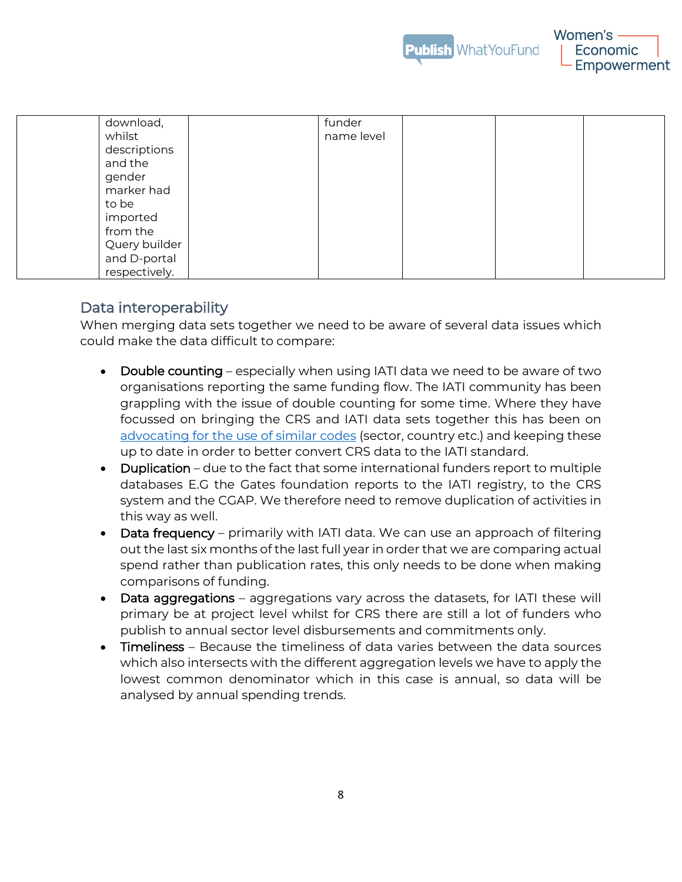

| download,     | funder     |  |  |
|---------------|------------|--|--|
| whilst        | name level |  |  |
| descriptions  |            |  |  |
| and the       |            |  |  |
| gender        |            |  |  |
| marker had    |            |  |  |
| to be         |            |  |  |
| imported      |            |  |  |
| from the      |            |  |  |
| Query builder |            |  |  |
| and D-portal  |            |  |  |
| respectively. |            |  |  |

## <span id="page-7-0"></span>Data interoperability

When merging data sets together we need to be aware of several data issues which could make the data difficult to compare:

- Double counting especially when using IATI data we need to be aware of two organisations reporting the same funding flow. The IATI community has been grappling with the issue of double counting for some time. Where they have focussed on bringing the CRS and IATI data sets together this has been on [advocating for the use of similar](https://discuss.iatistandard.org/t/how-could-we-achieve-greater-interoperability-between-iati-and-the-dac/1068/4) codes (sector, country etc.) and keeping these up to date in order to better convert CRS data to the IATI standard.
- Duplication due to the fact that some international funders report to multiple databases E.G the Gates foundation reports to the IATI registry, to the CRS system and the CGAP. We therefore need to remove duplication of activities in this way as well.
- Data frequency primarily with IATI data. We can use an approach of filtering out the last six months of the last full year in order that we are comparing actual spend rather than publication rates, this only needs to be done when making comparisons of funding.
- Data aggregations aggregations vary across the datasets, for IATI these will primary be at project level whilst for CRS there are still a lot of funders who publish to annual sector level disbursements and commitments only.
- Timeliness Because the timeliness of data varies between the data sources which also intersects with the different aggregation levels we have to apply the lowest common denominator which in this case is annual, so data will be analysed by annual spending trends.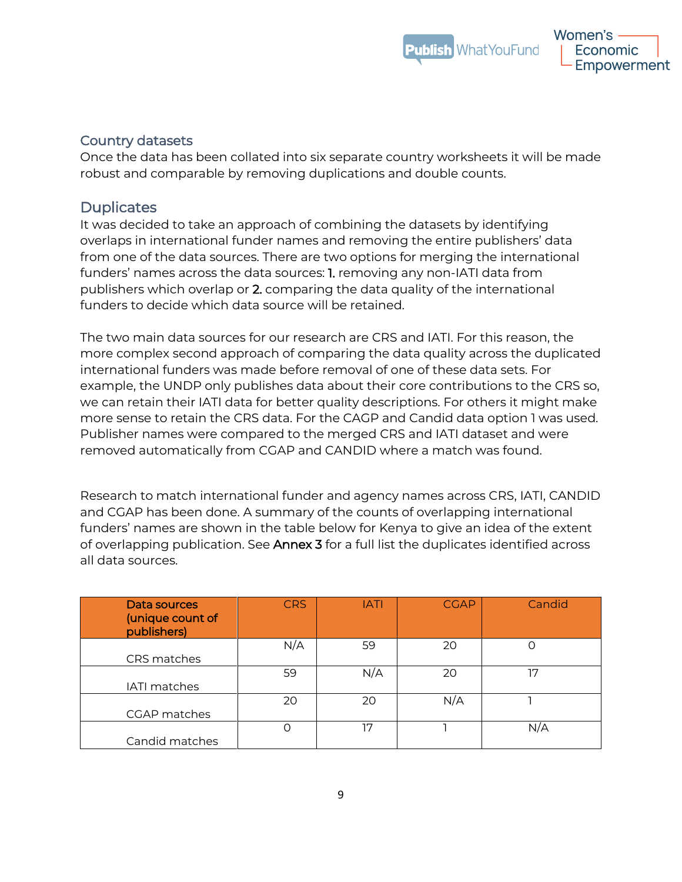### <span id="page-8-0"></span>Country datasets

Once the data has been collated into six separate country worksheets it will be made robust and comparable by removing duplications and double counts.

### <span id="page-8-1"></span>**Duplicates**

It was decided to take an approach of combining the datasets by identifying overlaps in international funder names and removing the entire publishers' data from one of the data sources. There are two options for merging the international funders' names across the data sources: 1. removing any non-IATI data from publishers which overlap or 2. comparing the data quality of the international funders to decide which data source will be retained.

The two main data sources for our research are CRS and IATI. For this reason, the more complex second approach of comparing the data quality across the duplicated international funders was made before removal of one of these data sets. For example, the UNDP only publishes data about their core contributions to the CRS so, we can retain their IATI data for better quality descriptions. For others it might make more sense to retain the CRS data. For the CAGP and Candid data option 1 was used. Publisher names were compared to the merged CRS and IATI dataset and were removed automatically from CGAP and CANDID where a match was found.

Research to match international funder and agency names across CRS, IATI, CANDID and CGAP has been done. A summary of the counts of overlapping international funders' names are shown in the table below for Kenya to give an idea of the extent of overlapping publication. See Annex 3 for a full list the duplicates identified across all data sources.

| Data sources<br>(unique count of<br>publishers) | <b>CRS</b> | <b>IATI</b> | <b>CGAP</b> | Candid |
|-------------------------------------------------|------------|-------------|-------------|--------|
|                                                 | N/A        | 59          | 20          |        |
| CRS matches                                     |            |             |             |        |
|                                                 | 59         | N/A         | 20          | חו     |
| <b>IATI</b> matches                             |            |             |             |        |
|                                                 | 20         | 20          | N/A         |        |
| CGAP matches                                    |            |             |             |        |
|                                                 |            | 17          |             | N/A    |
| Candid matches                                  |            |             |             |        |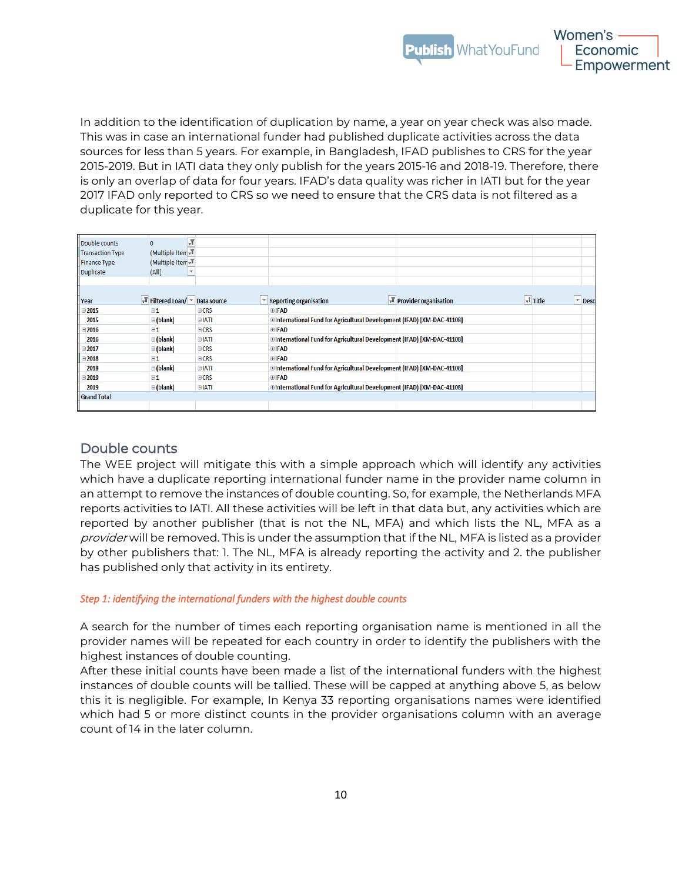In addition to the identification of duplication by name, a year on year check was also made. This was in case an international funder had published duplicate activities across the data sources for less than 5 years. For example, in Bangladesh, IFAD publishes to CRS for the year 2015-2019. But in IATI data they only publish for the years 2015-16 and 2018-19. Therefore, there is only an overlap of data for four years. IFAD's data quality was richer in IATI but for the year 2017 IFAD only reported to CRS so we need to ensure that the CRS data is not filtered as a duplicate for this year.

| Double counts<br><b>Transaction Type</b><br>Finance Type<br>Duplicate | $\mathbf{0}$<br>(Multiple Item +<br>(Multiple Item T<br>(All)<br>v |              |                                                                               |                                           |                                                            |
|-----------------------------------------------------------------------|--------------------------------------------------------------------|--------------|-------------------------------------------------------------------------------|-------------------------------------------|------------------------------------------------------------|
| Year                                                                  | $\sqrt{\mathbb{I}}$ Filtered Loan/ $\sqrt{\mathbb{I}}$ Data source |              | $\mathbf{F}$ Reporting organisation                                           | $\sqrt{\mathbb{I}}$ Provider organisation | $  $ <sub>v</sub> $  $ Title<br>$\blacktriangleright$ Desc |
| $\Box$ 2015                                                           | $\boxdot$ 1                                                        | CRS          | <b>EIFAD</b>                                                                  |                                           |                                                            |
| 2015                                                                  | $\Box$ (blank)                                                     | <b>GIATI</b> | Elnternational Fund for Agricultural Development (IFAD) [XM-DAC-41108]        |                                           |                                                            |
| $\Box$ 2016                                                           | $\boxdot$ 1                                                        | CRS          | <b>EIFAD</b>                                                                  |                                           |                                                            |
| 2016                                                                  | $\Box$ (blank)                                                     | <b>EIATI</b> | Elnternational Fund for Agricultural Development (IFAD) [XM-DAC-41108]        |                                           |                                                            |
| $\Box$ 2017                                                           | $\equiv$ (blank)                                                   | CRS          | <b>EIFAD</b>                                                                  |                                           |                                                            |
| $\Box$ 2018                                                           | $\boxdot$ 1                                                        | CRS          | <b>EIFAD</b>                                                                  |                                           |                                                            |
| 2018                                                                  | $\Box$ (blank)                                                     | <b>GIATI</b> | <b>⊞International Fund for Agricultural Development (IFAD) [XM-DAC-41108]</b> |                                           |                                                            |
| $\Box$ 2019                                                           | $\boxdot$ 1                                                        | CRS          | <b>EIFAD</b>                                                                  |                                           |                                                            |
| 2019                                                                  | $\equiv$ (blank)                                                   | <b>GIATI</b> | <b>⊞International Fund for Agricultural Development (IFAD) [XM-DAC-41108]</b> |                                           |                                                            |
| <b>Grand Total</b>                                                    |                                                                    |              |                                                                               |                                           |                                                            |
|                                                                       |                                                                    |              |                                                                               |                                           |                                                            |

### <span id="page-9-0"></span>Double counts

The WEE project will mitigate this with a simple approach which will identify any activities which have a duplicate reporting international funder name in the provider name column in an attempt to remove the instances of double counting. So, for example, the Netherlands MFA reports activities to IATI. All these activities will be left in that data but, any activities which are reported by another publisher (that is not the NL, MFA) and which lists the NL, MFA as a provider will be removed. This is under the assumption that if the NL, MFA is listed as a provider by other publishers that: 1. The NL, MFA is already reporting the activity and 2. the publisher has published only that activity in its entirety.

#### *Step 1: identifying the international funders with the highest double counts*

A search for the number of times each reporting organisation name is mentioned in all the provider names will be repeated for each country in order to identify the publishers with the highest instances of double counting.

After these initial counts have been made a list of the international funders with the highest instances of double counts will be tallied. These will be capped at anything above 5, as below this it is negligible. For example, In Kenya 33 reporting organisations names were identified which had 5 or more distinct counts in the provider organisations column with an average count of 14 in the later column.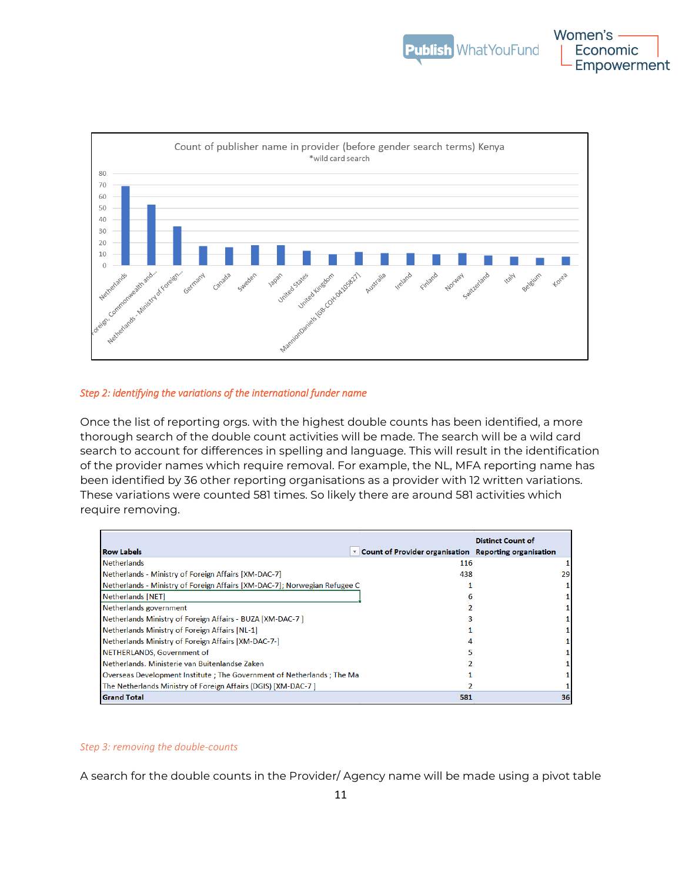

#### *Step 2: identifying the variations of the international funder name*

Once the list of reporting orgs. with the highest double counts has been identified, a more thorough search of the double count activities will be made. The search will be a wild card search to account for differences in spelling and language. This will result in the identification of the provider names which require removal. For example, the NL, MFA reporting name has been identified by 36 other reporting organisations as a provider with 12 written variations. These variations were counted 581 times. So likely there are around 581 activities which require removing.

|                                                                           |                                                       | <b>Distinct Count of</b> |
|---------------------------------------------------------------------------|-------------------------------------------------------|--------------------------|
| <b>Row Labels</b><br>v.                                                   | Count of Provider organisation Reporting organisation |                          |
| <b>Netherlands</b>                                                        | 116                                                   |                          |
| Netherlands - Ministry of Foreign Affairs [XM-DAC-7]                      | 438                                                   |                          |
| Netherlands - Ministry of Foreign Affairs [XM-DAC-7]; Norwegian Refugee C |                                                       |                          |
| Netherlands [NET]                                                         |                                                       |                          |
| Netherlands government                                                    |                                                       |                          |
| Netherlands Ministry of Foreign Affairs - BUZA [XM-DAC-7]                 |                                                       |                          |
| Netherlands Ministry of Foreign Affairs [NL-1]                            |                                                       |                          |
| Netherlands Ministry of Foreign Affairs [XM-DAC-7-]                       |                                                       |                          |
| NETHERLANDS, Government of                                                |                                                       |                          |
| Netherlands. Ministerie van Buitenlandse Zaken                            |                                                       |                          |
| Overseas Development Institute; The Government of Netherlands; The Ma     |                                                       |                          |
| The Netherlands Ministry of Foreign Affairs (DGIS) [XM-DAC-7]             |                                                       |                          |
| <b>Grand Total</b>                                                        | 581                                                   | 36                       |

#### *Step 3: removing the double-counts*

A search for the double counts in the Provider/ Agency name will be made using a pivot table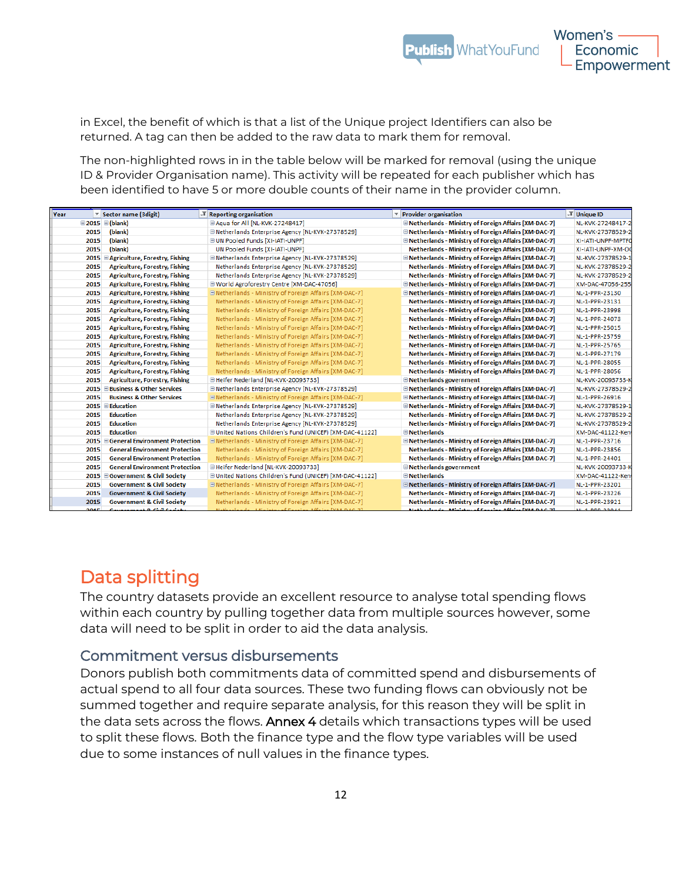in Excel, the benefit of which is that a list of the Unique project Identifiers can also be returned. A tag can then be added to the raw data to mark them for removal.

The non-highlighted rows in in the table below will be marked for removal (using the unique ID & Provider Organisation name). This activity will be repeated for each publisher which has been identified to have 5 or more double counts of their name in the provider column.

| Year |      | ▼ Sector name (3digit)                  | $\sqrt{I}$ Reporting organisation                        | $\triangledown$ Provider organisation                         | T Unique ID             |
|------|------|-----------------------------------------|----------------------------------------------------------|---------------------------------------------------------------|-------------------------|
|      |      | $\Box$ 2015 $\Box$ (blank)              | □ Aqua for All [NL-KVK-27248417]                         | □ Netherlands - Ministry of Foreign Affairs [XM-DAC-7]        | NL-KVK-27248417-2       |
|      | 2015 | (blank)                                 | Retherlands Enterprise Agency [NL-KVK-27378529]          | <b>ENetherlands - Ministry of Foreign Affairs [XM-DAC-7]</b>  | NL-KVK-27378529-2       |
|      | 2015 | (blank)                                 | UN Pooled Funds [XI-IATI-UNPF]                           | □ Netherlands - Ministry of Foreign Affairs [XM-DAC-7]        | XI-IATI-UNPF-MPTFC      |
|      | 2015 | (blank)                                 | UN Pooled Funds [XI-IATI-UNPF]                           | Netherlands - Ministry of Foreign Affairs [XM-DAC-7]          | XI-IATI-UNPF-XM-O       |
|      | 2015 | □ Agriculture, Forestry, Fishing        | Netherlands Enterprise Agency [NL-KVK-27378529]          | <b>E</b> Netherlands - Ministry of Foreign Affairs [XM-DAC-7] | NL-KVK-27378529-1       |
|      | 2015 | <b>Agriculture, Forestry, Fishing</b>   | Netherlands Enterprise Agency [NL-KVK-27378529]          | <b>Netherlands - Ministry of Foreign Affairs [XM-DAC-7]</b>   | NL-KVK-27378529-2       |
|      | 2015 | <b>Agriculture, Forestry, Fishing</b>   | Netherlands Enterprise Agency [NL-KVK-27378529]          | Netherlands - Ministry of Foreign Affairs [XM-DAC-7]          | NL-KVK-27378529-2       |
|      | 2015 | <b>Agriculture, Forestry, Fishing</b>   | E World Agroforestry Centre [XM-DAC-47056]               | □ Netherlands - Ministry of Foreign Affairs [XM-DAC-7]        | XM-DAC-47056-255        |
|      | 2015 | <b>Agriculture, Forestry, Fishing</b>   | ENetherlands - Ministry of Foreign Affairs [XM-DAC-7]    | □ Netherlands - Ministry of Foreign Affairs [XM-DAC-7]        | NL-1-PPR-23130          |
|      | 2015 | <b>Agriculture, Forestry, Fishing</b>   | Netherlands - Ministry of Foreign Affairs [XM-DAC-7]     | <b>Netherlands - Ministry of Foreign Affairs [XM-DAC-7]</b>   | NL-1-PPR-23131          |
|      | 2015 | <b>Agriculture, Forestry, Fishing</b>   | Netherlands - Ministry of Foreign Affairs [XM-DAC-7]     | <b>Netherlands - Ministry of Foreign Affairs [XM-DAC-7]</b>   | NL-1-PPR-23998          |
|      | 2015 | <b>Agriculture, Forestry, Fishing</b>   | Netherlands - Ministry of Foreign Affairs [XM-DAC-7]     | <b>Netherlands - Ministry of Foreign Affairs [XM-DAC-7]</b>   | NL-1-PPR-24073          |
|      | 2015 | <b>Agriculture, Forestry, Fishing</b>   | Netherlands - Ministry of Foreign Affairs [XM-DAC-7]     | Netherlands - Ministry of Foreign Affairs [XM-DAC-7]          | NL-1-PPR-25015          |
|      | 2015 | <b>Agriculture, Forestry, Fishing</b>   | Netherlands - Ministry of Foreign Affairs [XM-DAC-7]     | Netherlands - Ministry of Foreign Affairs [XM-DAC-7]          | NL-1-PPR-25759          |
|      | 2015 | <b>Agriculture, Forestry, Fishing</b>   | Netherlands - Ministry of Foreign Affairs [XM-DAC-7]     | <b>Netherlands - Ministry of Foreign Affairs [XM-DAC-7]</b>   | NL-1-PPR-25765          |
|      | 2015 | <b>Agriculture, Forestry, Fishing</b>   | Netherlands - Ministry of Foreign Affairs [XM-DAC-7]     | <b>Netherlands - Ministry of Foreign Affairs [XM-DAC-7]</b>   | NL-1-PPR-27179          |
|      | 2015 | <b>Agriculture, Forestry, Fishing</b>   | Netherlands - Ministry of Foreign Affairs [XM-DAC-7]     | Netherlands - Ministry of Foreign Affairs [XM-DAC-7]          | NL-1-PPR-28055          |
|      | 2015 | <b>Agriculture, Forestry, Fishing</b>   | Netherlands - Ministry of Foreign Affairs [XM-DAC-7]     | Netherlands - Ministry of Foreign Affairs [XM-DAC-7]          | NL-1-PPR-28056          |
|      | 2015 | <b>Agriculture, Forestry, Fishing</b>   | E Heifer Nederland [NL-KVK-20093733]                     | □ Netherlands government                                      | NL-KVK-20093733-K       |
|      | 2015 | <b>Business &amp; Other Services</b>    | □ Netherlands Enterprise Agency [NL-KVK-27378529]        | □ Netherlands - Ministry of Foreign Affairs [XM-DAC-7]        | NL-KVK-27378529-2       |
|      | 2015 | <b>Business &amp; Other Services</b>    | ENetherlands - Ministry of Foreign Affairs [XM-DAC-7]    | □ Netherlands - Ministry of Foreign Affairs [XM-DAC-7]        | NL-1-PPR-26916          |
|      | 2015 | <b>Education</b>                        | Retherlands Enterprise Agency [NL-KVK-27378529]          | Netherlands - Ministry of Foreign Affairs [XM-DAC-7]          | NL-KVK-27378529-1       |
|      | 2015 | <b>Education</b>                        | Netherlands Enterprise Agency [NL-KVK-27378529]          | <b>Netherlands - Ministry of Foreign Affairs [XM-DAC-7]</b>   | NL-KVK-27378529-2       |
|      | 2015 | <b>Education</b>                        | Netherlands Enterprise Agency [NL-KVK-27378529]          | Netherlands - Ministry of Foreign Affairs [XM-DAC-7]          | NL-KVK-27378529-2       |
|      | 2015 | <b>Education</b>                        | E United Nations Children's Fund (UNICEF) [XM-DAC-41122] | <b>E</b> Netherlands                                          | <b>XM-DAC-41122-Ken</b> |
|      | 2015 | <b>E</b> General Environment Protection | ENetherlands - Ministry of Foreign Affairs [XM-DAC-7]    | □ Netherlands - Ministry of Foreign Affairs [XM-DAC-7]        | NL-1-PPR-23716          |
|      | 2015 | <b>General Environment Protection</b>   | Netherlands - Ministry of Foreign Affairs [XM-DAC-7]     | <b>Netherlands - Ministry of Foreign Affairs [XM-DAC-7]</b>   | NL-1-PPR-23856          |
|      | 2015 | <b>General Environment Protection</b>   | Netherlands - Ministry of Foreign Affairs [XM-DAC-7]     | Netherlands - Ministry of Foreign Affairs [XM-DAC-7]          | NL-1-PPR-24401          |
|      | 2015 | <b>General Environment Protection</b>   | E Heifer Nederland [NL-KVK-20093733]                     | □ Netherlands government                                      | NL-KVK-20093733-K       |
|      | 2015 | Government & Civil Society              | E United Nations Children's Fund (UNICEF) [XM-DAC-41122] | <b>E</b> Netherlands                                          | XM-DAC-41122-Ken        |
|      | 2015 | <b>Government &amp; Civil Society</b>   | ENetherlands - Ministry of Foreign Affairs [XM-DAC-7]    | E Netherlands - Ministry of Foreign Affairs [XM-DAC-7]        | NL-1-PPR-23201          |
|      | 2015 | <b>Government &amp; Civil Society</b>   | Netherlands - Ministry of Foreign Affairs [XM-DAC-7]     | Netherlands - Ministry of Foreign Affairs [XM-DAC-7]          | NL-1-PPR-23226          |
|      | 2015 | <b>Government &amp; Civil Society</b>   | Netherlands - Ministry of Foreign Affairs [XM-DAC-7]     | Netherlands - Ministry of Foreign Affairs [XM-DAC-7]          | NL-1-PPR-23921          |
|      | 2015 | Government 8, Chil Society              | Notherlands - Ministry of Foreign Affairs (VM-DAC-7)     | Notherlands - Ministry of Foreign Affairs [VM-DAC-7]          | <b>MIL1.DDD.32041</b>   |

## <span id="page-11-0"></span>Data splitting

The country datasets provide an excellent resource to analyse total spending flows within each country by pulling together data from multiple sources however, some data will need to be split in order to aid the data analysis.

## <span id="page-11-1"></span>Commitment versus disbursements

Donors publish both commitments data of committed spend and disbursements of actual spend to all four data sources. These two funding flows can obviously not be summed together and require separate analysis, for this reason they will be split in the data sets across the flows. Annex 4 details which transactions types will be used to split these flows. Both the finance type and the flow type variables will be used due to some instances of null values in the finance types.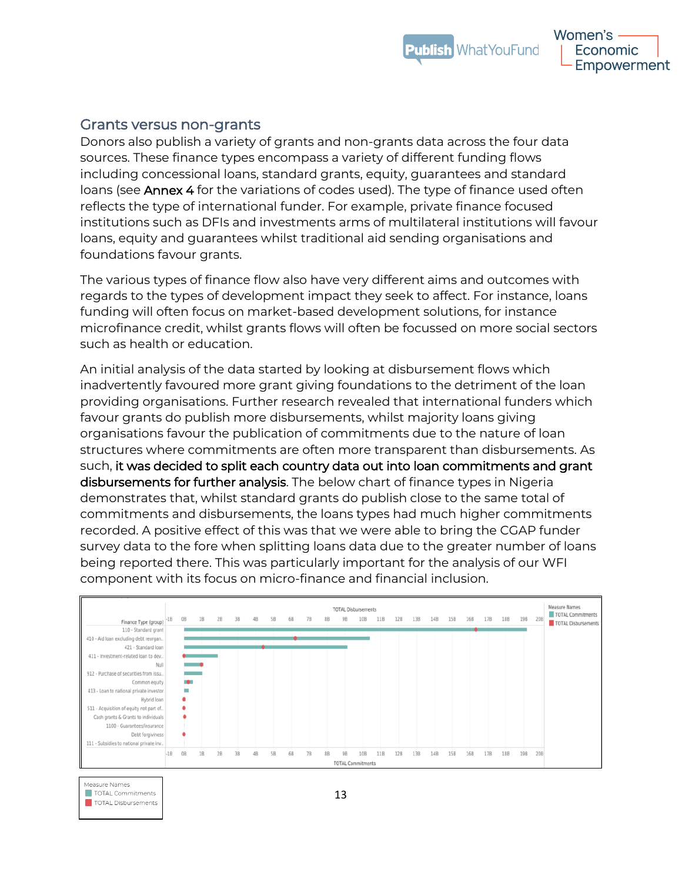### <span id="page-12-0"></span>Grants versus non-grants

Donors also publish a variety of grants and non-grants data across the four data sources. These finance types encompass a variety of different funding flows including concessional loans, standard grants, equity, guarantees and standard loans (see Annex 4 for the variations of codes used). The type of finance used often reflects the type of international funder. For example, private finance focused institutions such as DFIs and investments arms of multilateral institutions will favour loans, equity and guarantees whilst traditional aid sending organisations and foundations favour grants.

The various types of finance flow also have very different aims and outcomes with regards to the types of development impact they seek to affect. For instance, loans funding will often focus on market-based development solutions, for instance microfinance credit, whilst grants flows will often be focussed on more social sectors such as health or education.

An initial analysis of the data started by looking at disbursement flows which inadvertently favoured more grant giving foundations to the detriment of the loan providing organisations. Further research revealed that international funders which favour grants do publish more disbursements, whilst majority loans giving organisations favour the publication of commitments due to the nature of loan structures where commitments are often more transparent than disbursements. As such, it was decided to split each country data out into loan commitments and grant disbursements for further analysis. The below chart of finance types in Nigeria demonstrates that, whilst standard grants do publish close to the same total of commitments and disbursements, the loans types had much higher commitments recorded. A positive effect of this was that we were able to bring the CGAP funder survey data to the fore when splitting loans data due to the greater number of loans being reported there. This was particularly important for the analysis of our WFI component with its focus on micro-finance and financial inclusion.



TOTAL Commitments TOTAL Disbursements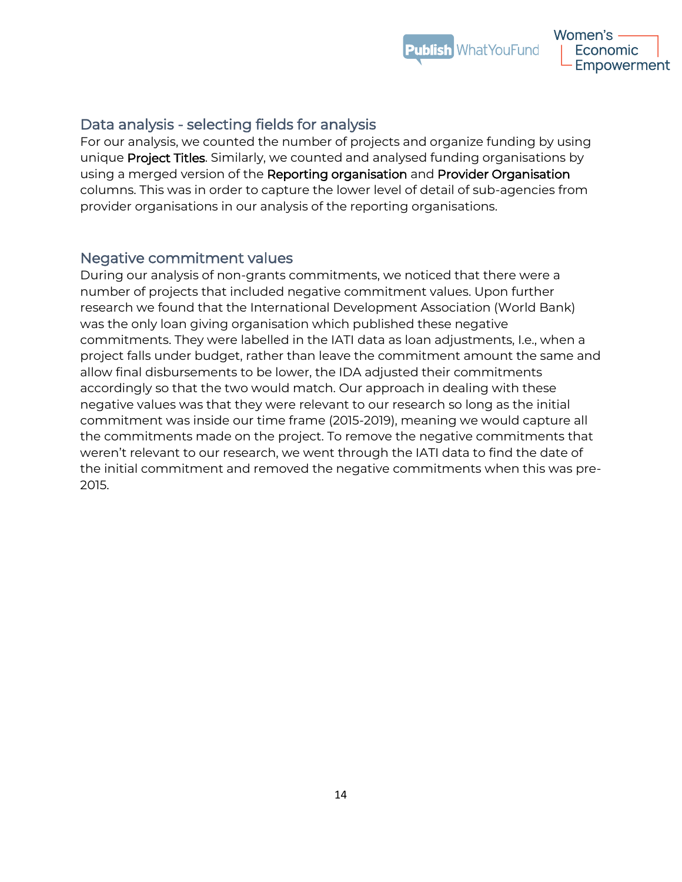## <span id="page-13-0"></span>Data analysis - selecting fields for analysis

For our analysis, we counted the number of projects and organize funding by using unique Project Titles. Similarly, we counted and analysed funding organisations by using a merged version of the Reporting organisation and Provider Organisation columns. This was in order to capture the lower level of detail of sub-agencies from provider organisations in our analysis of the reporting organisations.

## Negative commitment values

During our analysis of non-grants commitments, we noticed that there were a number of projects that included negative commitment values. Upon further research we found that the International Development Association (World Bank) was the only loan giving organisation which published these negative commitments. They were labelled in the IATI data as loan adjustments, I.e., when a project falls under budget, rather than leave the commitment amount the same and allow final disbursements to be lower, the IDA adjusted their commitments accordingly so that the two would match. Our approach in dealing with these negative values was that they were relevant to our research so long as the initial commitment was inside our time frame (2015-2019), meaning we would capture all the commitments made on the project. To remove the negative commitments that weren't relevant to our research, we went through the IATI data to find the date of the initial commitment and removed the negative commitments when this was pre-2015.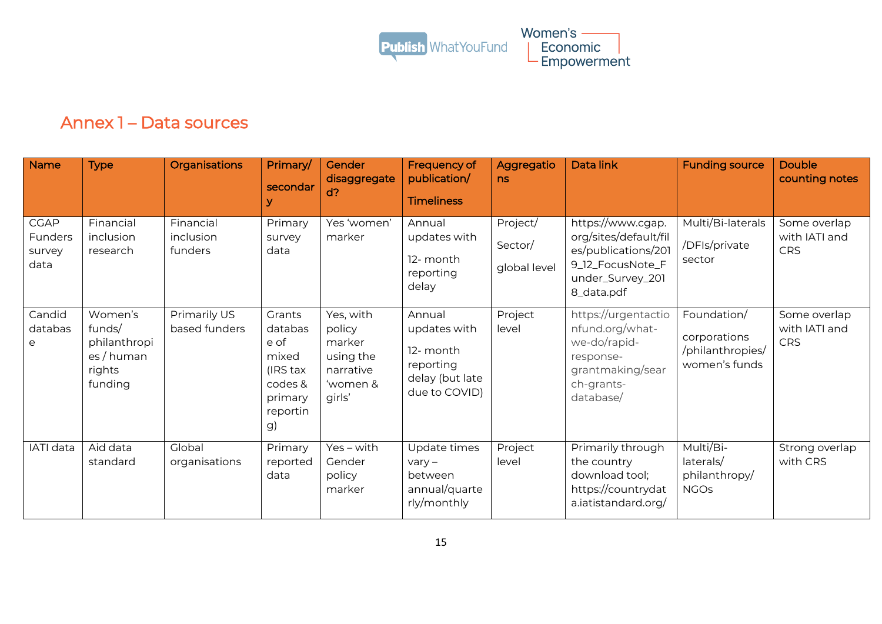

## Annex 1 – Data sources

<span id="page-14-0"></span>

| Name                              | <b>Type</b>                                                        | <b>Organisations</b>              | Primary/<br>secondar                                                                   | <b>Gender</b><br>disaggregate<br>$d$ ?                                        | <b>Frequency of</b><br>publication/<br><b>Timeliness</b>                             | Aggregatio<br>ns.                   | Data link                                                                                                               | <b>Funding source</b>                                            | <b>Double</b><br>counting notes             |
|-----------------------------------|--------------------------------------------------------------------|-----------------------------------|----------------------------------------------------------------------------------------|-------------------------------------------------------------------------------|--------------------------------------------------------------------------------------|-------------------------------------|-------------------------------------------------------------------------------------------------------------------------|------------------------------------------------------------------|---------------------------------------------|
| CGAP<br>Funders<br>survey<br>data | Financial<br>inclusion<br>research                                 | Financial<br>inclusion<br>funders | Primary<br>survey<br>data                                                              | Yes 'women'<br>marker                                                         | Annual<br>updates with<br>12- month<br>reporting<br>delay                            | Project/<br>Sector/<br>global level | https://www.cgap.<br>org/sites/default/fil<br>es/publications/201<br>9_12_FocusNote_F<br>under_Survey_201<br>8_data.pdf | Multi/Bi-laterals<br>/DFIs/private<br>sector                     | Some overlap<br>with IATI and<br><b>CRS</b> |
| Candid<br>databas<br>e            | Women's<br>funds/<br>philanthropi<br>es/human<br>rights<br>funding | Primarily US<br>based funders     | Grants<br>databas<br>e of<br>mixed<br>(IRS tax<br>codes &<br>primary<br>reportin<br>g) | Yes, with<br>policy<br>marker<br>using the<br>narrative<br>'women &<br>girls' | Annual<br>updates with<br>12- month<br>reporting<br>delay (but late<br>due to COVID) | Project<br>level                    | https://urgentactio<br>nfund.org/what-<br>we-do/rapid-<br>response-<br>grantmaking/sear<br>ch-grants-<br>database/      | Foundation/<br>corporations<br>/philanthropies/<br>women's funds | Some overlap<br>with IATI and<br><b>CRS</b> |
| IATI data                         | Aid data<br>standard                                               | Global<br>organisations           | Primary<br>reported<br>data                                                            | Yes - with<br>Gender<br>policy<br>marker                                      | Update times<br>$\text{var}$ y –<br>between<br>annual/quarte<br>rly/monthly          | Project<br>level                    | Primarily through<br>the country<br>download tool;<br>https://countrydat<br>a.iatistandard.org/                         | Multi/Bi-<br>laterals/<br>philanthropy/<br><b>NGOs</b>           | Strong overlap<br>with CRS                  |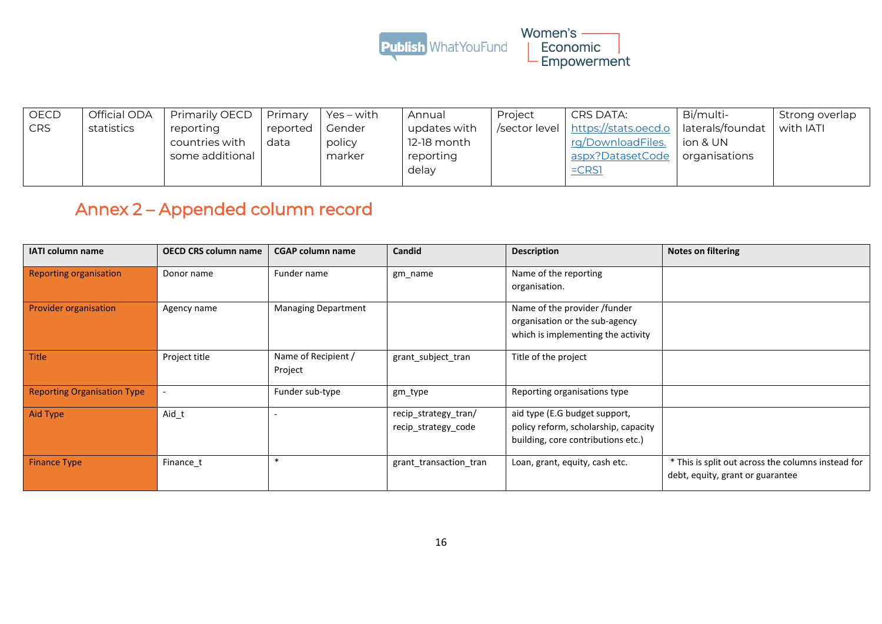|                             | Women's         |
|-----------------------------|-----------------|
| <b>Publish What YouFund</b> | Economic        |
|                             | $L$ Empowerment |

| OECD       | Official ODA | <b>Primarily OECD</b> | Primary  | Yes – with | Annual       | Project       | <b>CRS DATA:</b>     | Bi/multi-        | Strong overlap |
|------------|--------------|-----------------------|----------|------------|--------------|---------------|----------------------|------------------|----------------|
| <b>CRS</b> | statistics   | reporting             | reported | Gender     | updates with | /sector level | https://stats.oecd.o | laterals/foundat | with IATI      |
|            |              | countries with        | data     | policy     | 12-18 month  |               | rg/DownloadFiles.    | ion & UN         |                |
|            |              | some additional       |          | marker     | reporting    |               | aspx?DatasetCode     | organisations    |                |
|            |              |                       |          |            | delay        |               | $=CRS1$              |                  |                |
|            |              |                       |          |            |              |               |                      |                  |                |

# Annex 2 – Appended column record

<span id="page-15-0"></span>

| <b>IATI column name</b>            | <b>OECD CRS column name</b> | <b>CGAP column name</b>        | <b>Candid</b>                               | <b>Description</b>                                                                                          | <b>Notes on filtering</b>                                                              |
|------------------------------------|-----------------------------|--------------------------------|---------------------------------------------|-------------------------------------------------------------------------------------------------------------|----------------------------------------------------------------------------------------|
| <b>Reporting organisation</b>      | Donor name                  | Funder name                    | gm name                                     | Name of the reporting<br>organisation.                                                                      |                                                                                        |
| <b>Provider organisation</b>       | Agency name                 | <b>Managing Department</b>     |                                             | Name of the provider /funder<br>organisation or the sub-agency<br>which is implementing the activity        |                                                                                        |
| Title                              | Project title               | Name of Recipient /<br>Project | grant_subject_tran                          | Title of the project                                                                                        |                                                                                        |
| <b>Reporting Organisation Type</b> |                             | Funder sub-type                | gm_type                                     | Reporting organisations type                                                                                |                                                                                        |
| Aid Type                           | Aid_t                       |                                | recip_strategy_tran/<br>recip_strategy_code | aid type (E.G budget support,<br>policy reform, scholarship, capacity<br>building, core contributions etc.) |                                                                                        |
| <b>Finance Type</b>                | Finance_t                   | $\ast$                         | grant_transaction_tran                      | Loan, grant, equity, cash etc.                                                                              | * This is split out across the columns instead for<br>debt, equity, grant or guarantee |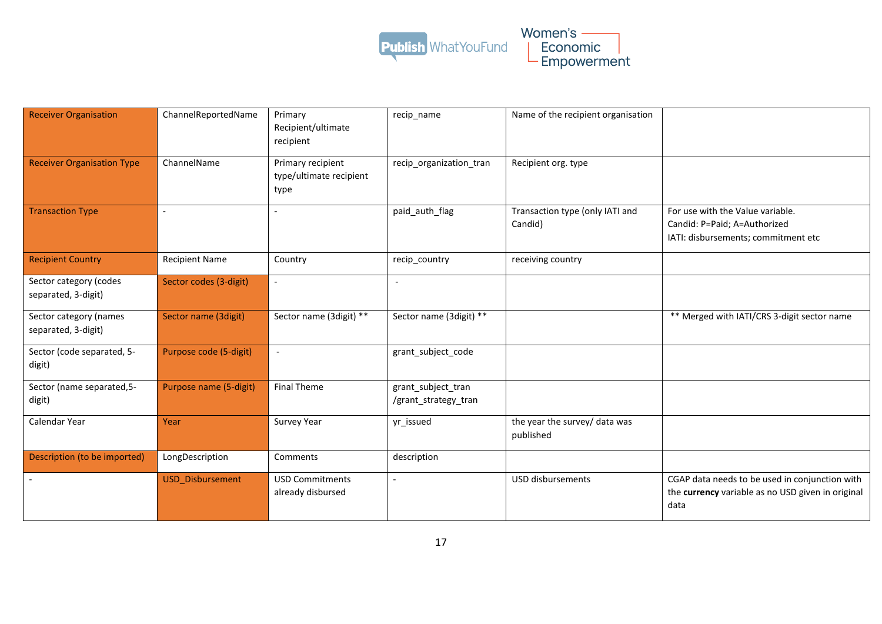

| <b>Receiver Organisation</b>                  | ChannelReportedName    | Primary<br>Recipient/ultimate<br>recipient           | recip_name                                 | Name of the recipient organisation         |                                                                                                             |
|-----------------------------------------------|------------------------|------------------------------------------------------|--------------------------------------------|--------------------------------------------|-------------------------------------------------------------------------------------------------------------|
| <b>Receiver Organisation Type</b>             | ChannelName            | Primary recipient<br>type/ultimate recipient<br>type | recip_organization_tran                    | Recipient org. type                        |                                                                                                             |
| <b>Transaction Type</b>                       | $\mathbf{r}$           |                                                      | paid_auth_flag                             | Transaction type (only IATI and<br>Candid) | For use with the Value variable.<br>Candid: P=Paid; A=Authorized<br>IATI: disbursements; commitment etc     |
| <b>Recipient Country</b>                      | <b>Recipient Name</b>  | Country                                              | recip_country                              | receiving country                          |                                                                                                             |
| Sector category (codes<br>separated, 3-digit) | Sector codes (3-digit) | $\overline{\phantom{a}}$                             | $\overline{\phantom{a}}$                   |                                            |                                                                                                             |
| Sector category (names<br>separated, 3-digit) | Sector name (3digit)   | Sector name (3digit) **                              | Sector name (3digit) **                    |                                            | ** Merged with IATI/CRS 3-digit sector name                                                                 |
| Sector (code separated, 5-<br>digit)          | Purpose code (5-digit) | $\overline{\phantom{a}}$                             | grant_subject_code                         |                                            |                                                                                                             |
| Sector (name separated, 5-<br>digit)          | Purpose name (5-digit) | <b>Final Theme</b>                                   | grant_subject_tran<br>/grant_strategy_tran |                                            |                                                                                                             |
| Calendar Year                                 | Year                   | Survey Year                                          | yr_issued                                  | the year the survey/ data was<br>published |                                                                                                             |
| Description (to be imported)                  | LongDescription        | Comments                                             | description                                |                                            |                                                                                                             |
|                                               | USD_Disbursement       | <b>USD Commitments</b><br>already disbursed          |                                            | USD disbursements                          | CGAP data needs to be used in conjunction with<br>the currency variable as no USD given in original<br>data |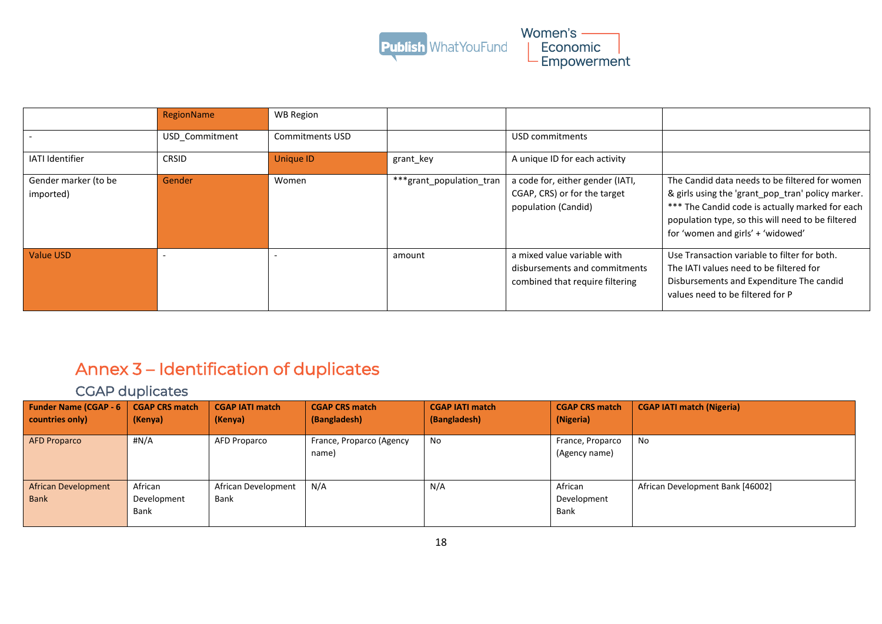

Economic

Empowerment

|                                   | RegionName     | <b>WB Region</b>       |                          |                                                                                                 |                                                                                                                                                                                                                                                  |
|-----------------------------------|----------------|------------------------|--------------------------|-------------------------------------------------------------------------------------------------|--------------------------------------------------------------------------------------------------------------------------------------------------------------------------------------------------------------------------------------------------|
|                                   | USD Commitment | <b>Commitments USD</b> |                          | USD commitments                                                                                 |                                                                                                                                                                                                                                                  |
| <b>IATI</b> Identifier            | <b>CRSID</b>   | Unique ID              | grant_key                | A unique ID for each activity                                                                   |                                                                                                                                                                                                                                                  |
| Gender marker (to be<br>imported) | Gender         | Women                  | ***grant_population_tran | a code for, either gender (IATI,<br>CGAP, CRS) or for the target<br>population (Candid)         | The Candid data needs to be filtered for women<br>& girls using the 'grant_pop_tran' policy marker.<br>*** The Candid code is actually marked for each<br>population type, so this will need to be filtered<br>for 'women and girls' + 'widowed' |
| <b>Value USD</b>                  |                |                        | amount                   | a mixed value variable with<br>disbursements and commitments<br>combined that require filtering | Use Transaction variable to filter for both.<br>The IATI values need to be filtered for<br>Disbursements and Expenditure The candid<br>values need to be filtered for P                                                                          |

## Annex 3 – Identification of duplicates

## CGAP duplicates

<span id="page-17-1"></span><span id="page-17-0"></span>

| <b>Funder Name (CGAP - 6</b><br>countries only) | <b>CGAP CRS match</b><br>(Kenya) | <b>CGAP IATI match</b><br>(Kenya) | <b>CGAP CRS match</b><br>(Bangladesh) | <b>CGAP IATI match</b><br>(Bangladesh) | <b>CGAP CRS match</b><br>(Nigeria) | CGAP IATI match (Nigeria)        |
|-------------------------------------------------|----------------------------------|-----------------------------------|---------------------------------------|----------------------------------------|------------------------------------|----------------------------------|
| <b>AFD Proparco</b>                             | #N/A                             | AFD Proparco                      | France, Proparco (Agency<br>name)     | No                                     | France, Proparco<br>(Agency name)  | No                               |
| <b>African Development</b><br><b>Bank</b>       | African<br>Development<br>Bank   | African Development<br>Bank       | N/A                                   | N/A                                    | African<br>Development<br>Bank     | African Development Bank [46002] |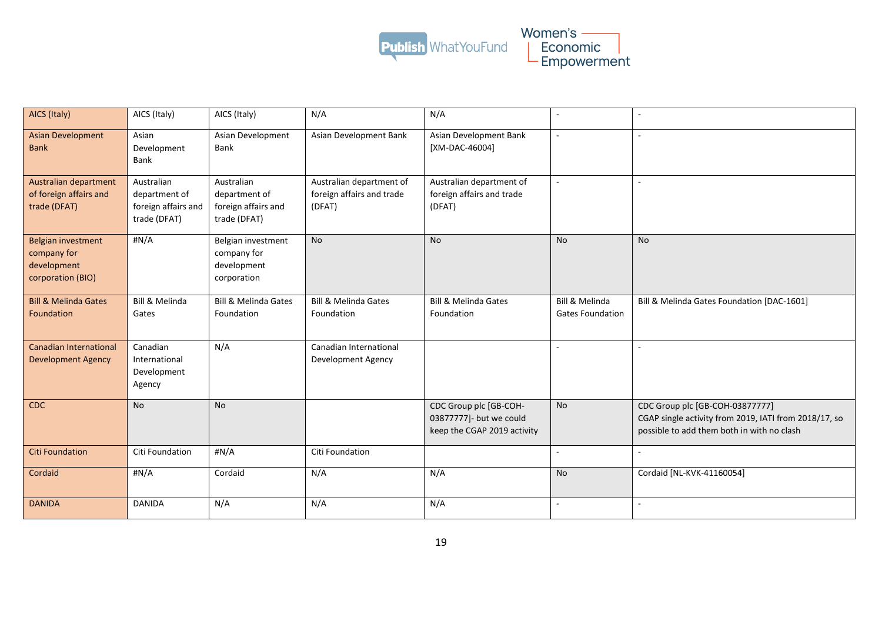

| AICS (Italy)                                                          | AICS (Italy)                                                       | AICS (Italy)                                                       | N/A                                                             | N/A                                                                              | $\sim$                                    |                                                                                                                                        |
|-----------------------------------------------------------------------|--------------------------------------------------------------------|--------------------------------------------------------------------|-----------------------------------------------------------------|----------------------------------------------------------------------------------|-------------------------------------------|----------------------------------------------------------------------------------------------------------------------------------------|
| <b>Asian Development</b><br><b>Bank</b>                               | Asian<br>Development<br>Bank                                       | Asian Development<br>Bank                                          | Asian Development Bank                                          | Asian Development Bank<br>[XM-DAC-46004]                                         | $\sim$                                    |                                                                                                                                        |
| Australian department<br>of foreign affairs and<br>trade (DFAT)       | Australian<br>department of<br>foreign affairs and<br>trade (DFAT) | Australian<br>department of<br>foreign affairs and<br>trade (DFAT) | Australian department of<br>foreign affairs and trade<br>(DFAT) | Australian department of<br>foreign affairs and trade<br>(DFAT)                  | $\sim$                                    | $\sim$                                                                                                                                 |
| Belgian investment<br>company for<br>development<br>corporation (BIO) | #N/A                                                               | Belgian investment<br>company for<br>development<br>corporation    | <b>No</b>                                                       | <b>No</b>                                                                        | <b>No</b>                                 | <b>No</b>                                                                                                                              |
| <b>Bill &amp; Melinda Gates</b><br>Foundation                         | <b>Bill &amp; Melinda</b><br>Gates                                 | <b>Bill &amp; Melinda Gates</b><br>Foundation                      | <b>Bill &amp; Melinda Gates</b><br>Foundation                   | <b>Bill &amp; Melinda Gates</b><br>Foundation                                    | Bill & Melinda<br><b>Gates Foundation</b> | Bill & Melinda Gates Foundation [DAC-1601]                                                                                             |
| <b>Canadian International</b><br><b>Development Agency</b>            | Canadian<br>International<br>Development<br>Agency                 | N/A                                                                | Canadian International<br>Development Agency                    |                                                                                  | $\mathbf{r}$                              |                                                                                                                                        |
| <b>CDC</b>                                                            | No                                                                 | <b>No</b>                                                          |                                                                 | CDC Group plc [GB-COH-<br>03877777]- but we could<br>keep the CGAP 2019 activity | <b>No</b>                                 | CDC Group plc [GB-COH-03877777]<br>CGAP single activity from 2019, IATI from 2018/17, so<br>possible to add them both in with no clash |
| <b>Citi Foundation</b>                                                | Citi Foundation                                                    | $\sharp N/A$                                                       | Citi Foundation                                                 |                                                                                  |                                           |                                                                                                                                        |
| Cordaid                                                               | #N/A                                                               | Cordaid                                                            | N/A                                                             | N/A                                                                              | <b>No</b>                                 | Cordaid [NL-KVK-41160054]                                                                                                              |
| <b>DANIDA</b>                                                         | <b>DANIDA</b>                                                      | N/A                                                                | N/A                                                             | N/A                                                                              | $\sim$                                    | $\sim$                                                                                                                                 |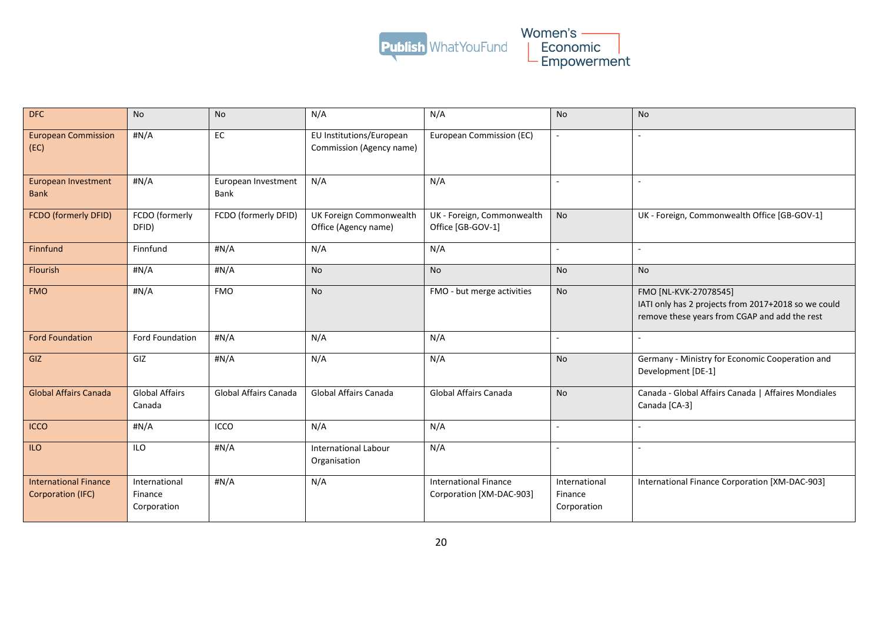

| <b>DFC</b>                                        | <b>No</b>                               | No                          | N/A                                                  | N/A                                               | <b>No</b>                               | No                                                                                                                            |
|---------------------------------------------------|-----------------------------------------|-----------------------------|------------------------------------------------------|---------------------------------------------------|-----------------------------------------|-------------------------------------------------------------------------------------------------------------------------------|
| <b>European Commission</b><br>(EC)                | #N/A                                    | EC                          | EU Institutions/European<br>Commission (Agency name) | European Commission (EC)                          |                                         |                                                                                                                               |
| <b>European Investment</b><br><b>Bank</b>         | #N/A                                    | European Investment<br>Bank | N/A                                                  | N/A                                               |                                         |                                                                                                                               |
| FCDO (formerly DFID)                              | FCDO (formerly<br>DFID)                 | FCDO (formerly DFID)        | UK Foreign Commonwealth<br>Office (Agency name)      | UK - Foreign, Commonwealth<br>Office [GB-GOV-1]   | <b>No</b>                               | UK - Foreign, Commonwealth Office [GB-GOV-1]                                                                                  |
| Finnfund                                          | Finnfund                                | #N/A                        | N/A                                                  | N/A                                               | $\sim$                                  |                                                                                                                               |
| Flourish                                          | #N/A                                    | #N/A                        | <b>No</b>                                            | <b>No</b>                                         | <b>No</b>                               | <b>No</b>                                                                                                                     |
| <b>FMO</b>                                        | #N/A                                    | <b>FMO</b>                  | <b>No</b>                                            | FMO - but merge activities                        | <b>No</b>                               | FMO [NL-KVK-27078545]<br>IATI only has 2 projects from 2017+2018 so we could<br>remove these years from CGAP and add the rest |
| <b>Ford Foundation</b>                            | <b>Ford Foundation</b>                  | $\sharp N/A$                | N/A                                                  | N/A                                               | $\mathbf{r}$                            |                                                                                                                               |
| GIZ                                               | GIZ                                     | #N/A                        | N/A                                                  | N/A                                               | <b>No</b>                               | Germany - Ministry for Economic Cooperation and<br>Development [DE-1]                                                         |
| <b>Global Affairs Canada</b>                      | <b>Global Affairs</b><br>Canada         | Global Affairs Canada       | Global Affairs Canada                                | Global Affairs Canada                             | <b>No</b>                               | Canada - Global Affairs Canada   Affaires Mondiales<br>Canada [CA-3]                                                          |
| <b>ICCO</b>                                       | #N/A                                    | ICCO                        | N/A                                                  | N/A                                               | $\blacksquare$                          |                                                                                                                               |
| <b>ILO</b>                                        | <b>ILO</b>                              | $\sharp N/A$                | <b>International Labour</b><br>Organisation          | N/A                                               | $\sim$                                  |                                                                                                                               |
| <b>International Finance</b><br>Corporation (IFC) | International<br>Finance<br>Corporation | #N/A                        | N/A                                                  | International Finance<br>Corporation [XM-DAC-903] | International<br>Finance<br>Corporation | International Finance Corporation [XM-DAC-903]                                                                                |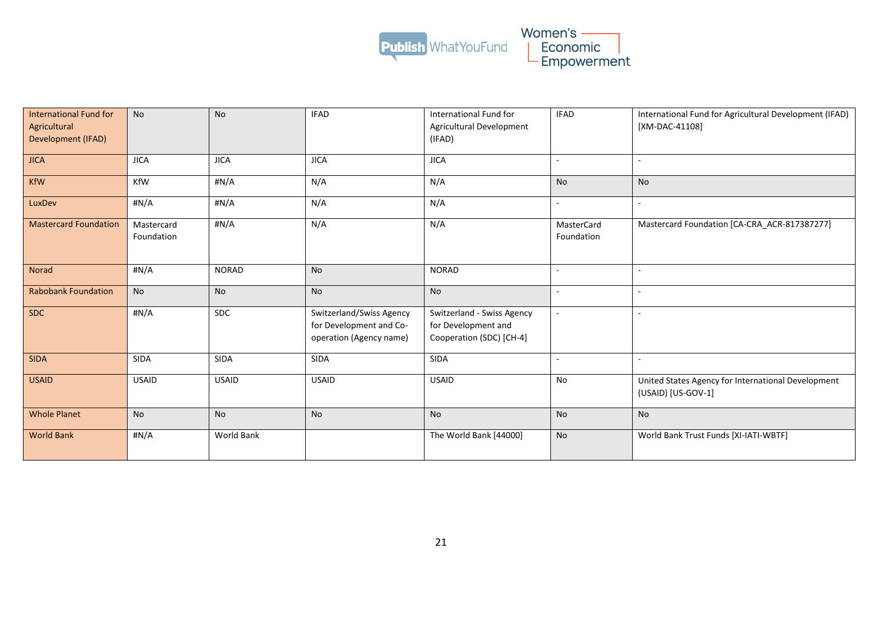

| <b>International Fund for</b><br>Agricultural<br>Development (IFAD) | No                       | <b>No</b>    | <b>IFAD</b>                                                                    | International Fund for<br>Agricultural Development<br>(IFAD)                  | <b>IFAD</b>              | International Fund for Agricultural Development (IFAD)<br>[XM-DAC-41108] |
|---------------------------------------------------------------------|--------------------------|--------------|--------------------------------------------------------------------------------|-------------------------------------------------------------------------------|--------------------------|--------------------------------------------------------------------------|
| <b>JICA</b>                                                         | <b>JICA</b>              | <b>JICA</b>  | <b>JICA</b>                                                                    | <b>JICA</b>                                                                   | $\overline{\phantom{a}}$ |                                                                          |
| <b>KfW</b>                                                          | KfW                      | $\sharp N/A$ | N/A                                                                            | N/A                                                                           | No                       | No                                                                       |
| LuxDev                                                              | #N/A                     | #N/A         | N/A                                                                            | N/A                                                                           | $\overline{\phantom{0}}$ | $\overline{\phantom{a}}$                                                 |
| <b>Mastercard Foundation</b>                                        | Mastercard<br>Foundation | #N/A         | N/A                                                                            | N/A                                                                           | MasterCard<br>Foundation | Mastercard Foundation [CA-CRA_ACR-817387277]                             |
| Norad                                                               | #N/A                     | <b>NORAD</b> | <b>No</b>                                                                      | <b>NORAD</b>                                                                  | $\overline{\phantom{a}}$ |                                                                          |
| <b>Rabobank Foundation</b>                                          | No                       | No           | <b>No</b>                                                                      | No                                                                            | $\overline{\phantom{a}}$ |                                                                          |
| <b>SDC</b>                                                          | #N/A                     | SDC          | Switzerland/Swiss Agency<br>for Development and Co-<br>operation (Agency name) | Switzerland - Swiss Agency<br>for Development and<br>Cooperation (SDC) [CH-4] | $\overline{\phantom{a}}$ |                                                                          |
| <b>SIDA</b>                                                         | SIDA                     | SIDA         | SIDA                                                                           | SIDA                                                                          | $\overline{\phantom{a}}$ | ÷.                                                                       |
| <b>USAID</b>                                                        | <b>USAID</b>             | <b>USAID</b> | <b>USAID</b>                                                                   | <b>USAID</b>                                                                  | No                       | United States Agency for International Development<br>(USAID) [US-GOV-1] |
| <b>Whole Planet</b>                                                 | <b>No</b>                | <b>No</b>    | <b>No</b>                                                                      | No                                                                            | <b>No</b>                | No                                                                       |
| <b>World Bank</b>                                                   | #N/A                     | World Bank   |                                                                                | The World Bank [44000]                                                        | <b>No</b>                | World Bank Trust Funds [XI-IATI-WBTF]                                    |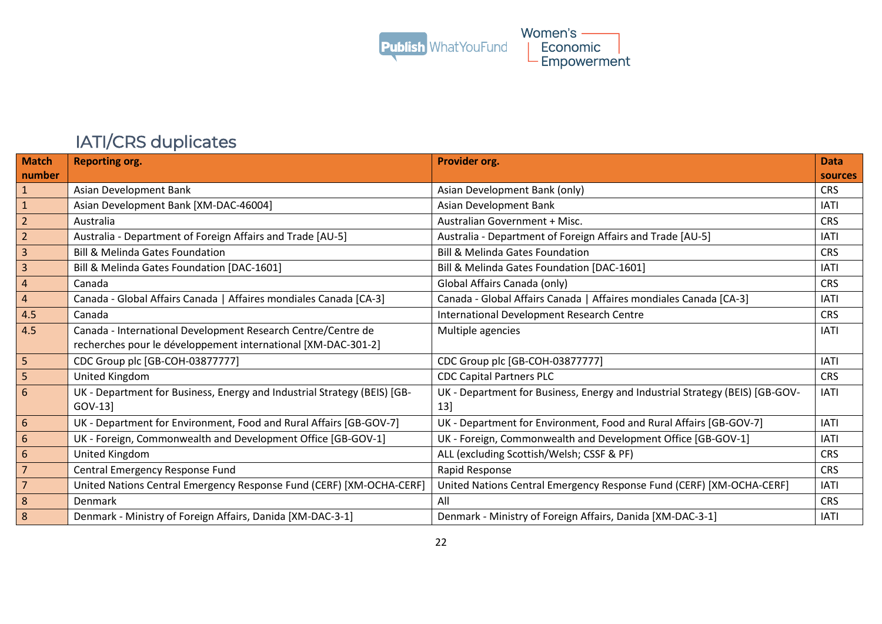|                            | Women's         |  |
|----------------------------|-----------------|--|
| <b>Publish WhatYouFund</b> | Economic        |  |
|                            | $L$ Empowerment |  |

# IATI/CRS duplicates

<span id="page-21-0"></span>

| <b>Match</b>   | <b>Reporting org.</b>                                                                                                         | Provider org.                                                                       | Data        |
|----------------|-------------------------------------------------------------------------------------------------------------------------------|-------------------------------------------------------------------------------------|-------------|
| number         |                                                                                                                               |                                                                                     | sources     |
| $\mathbf{1}$   | Asian Development Bank                                                                                                        | Asian Development Bank (only)                                                       | <b>CRS</b>  |
| $\mathbf{1}$   | Asian Development Bank [XM-DAC-46004]                                                                                         | Asian Development Bank                                                              | <b>IATI</b> |
| $\overline{2}$ | Australia                                                                                                                     | Australian Government + Misc.                                                       | <b>CRS</b>  |
| $\overline{2}$ | Australia - Department of Foreign Affairs and Trade [AU-5]                                                                    | Australia - Department of Foreign Affairs and Trade [AU-5]                          | <b>IATI</b> |
| $\overline{3}$ | <b>Bill &amp; Melinda Gates Foundation</b>                                                                                    | <b>Bill &amp; Melinda Gates Foundation</b>                                          | <b>CRS</b>  |
| $\overline{3}$ | Bill & Melinda Gates Foundation [DAC-1601]                                                                                    | Bill & Melinda Gates Foundation [DAC-1601]                                          | <b>IATI</b> |
| $\overline{4}$ | Canada                                                                                                                        | Global Affairs Canada (only)                                                        | <b>CRS</b>  |
| $\overline{4}$ | Canada - Global Affairs Canada   Affaires mondiales Canada [CA-3]                                                             | Canada - Global Affairs Canada   Affaires mondiales Canada [CA-3]                   | <b>IATI</b> |
| 4.5            | Canada                                                                                                                        | International Development Research Centre                                           | <b>CRS</b>  |
| 4.5            | Canada - International Development Research Centre/Centre de<br>recherches pour le développement international [XM-DAC-301-2] | Multiple agencies                                                                   | <b>IATI</b> |
| 5              | CDC Group plc [GB-COH-03877777]                                                                                               | CDC Group plc [GB-COH-03877777]                                                     | <b>IATI</b> |
| 5              | United Kingdom                                                                                                                | <b>CDC Capital Partners PLC</b>                                                     | <b>CRS</b>  |
| 6              | UK - Department for Business, Energy and Industrial Strategy (BEIS) [GB-<br>GOV-13]                                           | UK - Department for Business, Energy and Industrial Strategy (BEIS) [GB-GOV-<br>13] | <b>IATI</b> |
| 6              | UK - Department for Environment, Food and Rural Affairs [GB-GOV-7]                                                            | UK - Department for Environment, Food and Rural Affairs [GB-GOV-7]                  | <b>IATI</b> |
| 6              | UK - Foreign, Commonwealth and Development Office [GB-GOV-1]                                                                  | UK - Foreign, Commonwealth and Development Office [GB-GOV-1]                        | <b>IATI</b> |
| 6              | United Kingdom                                                                                                                | ALL (excluding Scottish/Welsh; CSSF & PF)                                           | <b>CRS</b>  |
| $\overline{7}$ | Central Emergency Response Fund                                                                                               | Rapid Response                                                                      | <b>CRS</b>  |
| $\overline{7}$ | United Nations Central Emergency Response Fund (CERF) [XM-OCHA-CERF]                                                          | United Nations Central Emergency Response Fund (CERF) [XM-OCHA-CERF]                | <b>IATI</b> |
| 8              | Denmark                                                                                                                       | All                                                                                 | <b>CRS</b>  |
| 8              | Denmark - Ministry of Foreign Affairs, Danida [XM-DAC-3-1]                                                                    | Denmark - Ministry of Foreign Affairs, Danida [XM-DAC-3-1]                          | <b>IATI</b> |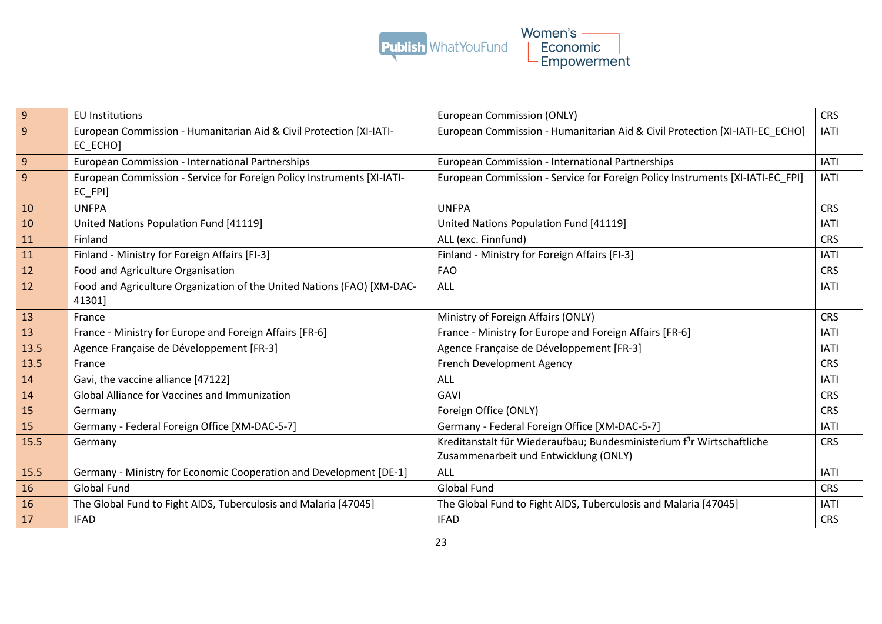

| 9    | <b>EU Institutions</b>                                                            | <b>European Commission (ONLY)</b>                                                                                           | <b>CRS</b>  |
|------|-----------------------------------------------------------------------------------|-----------------------------------------------------------------------------------------------------------------------------|-------------|
| 9    | European Commission - Humanitarian Aid & Civil Protection [XI-IATI-<br>EC_ECHO]   | European Commission - Humanitarian Aid & Civil Protection [XI-IATI-EC ECHO]                                                 | <b>IATI</b> |
| 9    | <b>European Commission - International Partnerships</b>                           | European Commission - International Partnerships                                                                            | <b>IATI</b> |
| 9    | European Commission - Service for Foreign Policy Instruments [XI-IATI-<br>EC_FPI] | European Commission - Service for Foreign Policy Instruments [XI-IATI-EC FPI]                                               | <b>IATI</b> |
| 10   | <b>UNFPA</b>                                                                      | <b>UNFPA</b>                                                                                                                | <b>CRS</b>  |
| 10   | United Nations Population Fund [41119]                                            | United Nations Population Fund [41119]                                                                                      | <b>IATI</b> |
| 11   | Finland                                                                           | ALL (exc. Finnfund)                                                                                                         | <b>CRS</b>  |
| 11   | Finland - Ministry for Foreign Affairs [FI-3]                                     | Finland - Ministry for Foreign Affairs [FI-3]                                                                               | <b>IATI</b> |
| 12   | Food and Agriculture Organisation                                                 | <b>FAO</b>                                                                                                                  | <b>CRS</b>  |
| 12   | Food and Agriculture Organization of the United Nations (FAO) [XM-DAC-<br>41301]  | <b>ALL</b>                                                                                                                  | <b>IATI</b> |
| 13   | France                                                                            | Ministry of Foreign Affairs (ONLY)                                                                                          | <b>CRS</b>  |
| 13   | France - Ministry for Europe and Foreign Affairs [FR-6]                           | France - Ministry for Europe and Foreign Affairs [FR-6]                                                                     | <b>IATI</b> |
| 13.5 | Agence Française de Développement [FR-3]                                          | Agence Française de Développement [FR-3]                                                                                    | <b>IATI</b> |
| 13.5 | France                                                                            | French Development Agency                                                                                                   | <b>CRS</b>  |
| 14   | Gavi, the vaccine alliance [47122]                                                | ALL                                                                                                                         | <b>IATI</b> |
| 14   | <b>Global Alliance for Vaccines and Immunization</b>                              | GAVI                                                                                                                        | <b>CRS</b>  |
| 15   | Germany                                                                           | Foreign Office (ONLY)                                                                                                       | <b>CRS</b>  |
| 15   | Germany - Federal Foreign Office [XM-DAC-5-7]                                     | Germany - Federal Foreign Office [XM-DAC-5-7]                                                                               | <b>IATI</b> |
| 15.5 | Germany                                                                           | Kreditanstalt für Wiederaufbau; Bundesministerium f <sup>3</sup> r Wirtschaftliche<br>Zusammenarbeit und Entwicklung (ONLY) | <b>CRS</b>  |
| 15.5 | Germany - Ministry for Economic Cooperation and Development [DE-1]                | ALL                                                                                                                         | <b>IATI</b> |
| 16   | <b>Global Fund</b>                                                                | <b>Global Fund</b>                                                                                                          | <b>CRS</b>  |
| 16   | The Global Fund to Fight AIDS, Tuberculosis and Malaria [47045]                   | The Global Fund to Fight AIDS, Tuberculosis and Malaria [47045]                                                             | <b>IATI</b> |
| 17   | <b>IFAD</b>                                                                       | <b>IFAD</b>                                                                                                                 | <b>CRS</b>  |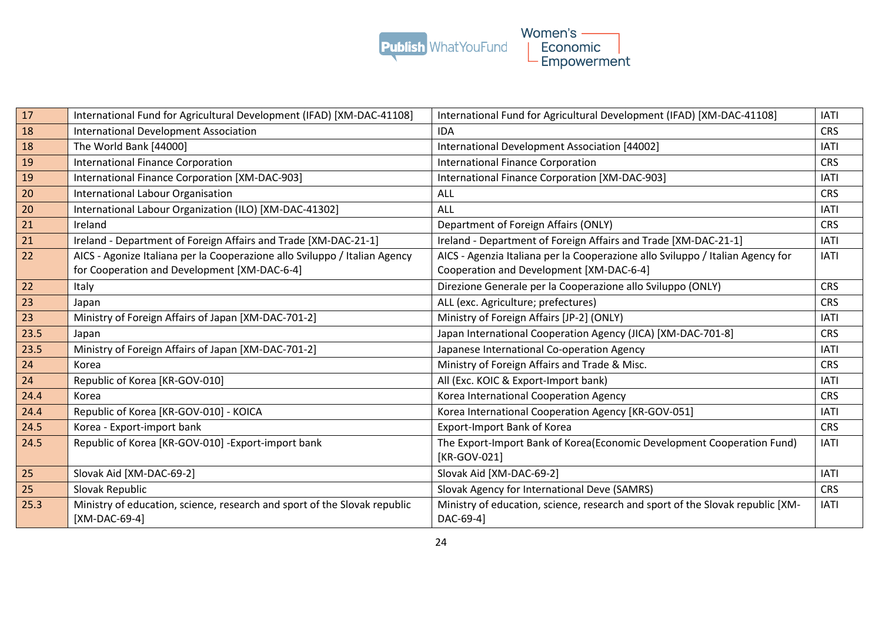

| 17   | International Fund for Agricultural Development (IFAD) [XM-DAC-41108]                        | International Fund for Agricultural Development (IFAD) [XM-DAC-41108]                       | <b>IATI</b> |
|------|----------------------------------------------------------------------------------------------|---------------------------------------------------------------------------------------------|-------------|
| 18   | <b>International Development Association</b>                                                 | <b>IDA</b>                                                                                  | <b>CRS</b>  |
| 18   | The World Bank [44000]                                                                       | International Development Association [44002]                                               | <b>IATI</b> |
| 19   | <b>International Finance Corporation</b>                                                     | <b>International Finance Corporation</b>                                                    | <b>CRS</b>  |
| 19   | International Finance Corporation [XM-DAC-903]                                               | International Finance Corporation [XM-DAC-903]                                              | <b>IATI</b> |
| 20   | <b>International Labour Organisation</b>                                                     | ALL                                                                                         | <b>CRS</b>  |
| 20   | International Labour Organization (ILO) [XM-DAC-41302]                                       | ALL                                                                                         | <b>IATI</b> |
| 21   | Ireland                                                                                      | Department of Foreign Affairs (ONLY)                                                        | <b>CRS</b>  |
| 21   | Ireland - Department of Foreign Affairs and Trade [XM-DAC-21-1]                              | Ireland - Department of Foreign Affairs and Trade [XM-DAC-21-1]                             | <b>IATI</b> |
| 22   | AICS - Agonize Italiana per la Cooperazione allo Sviluppo / Italian Agency                   | AICS - Agenzia Italiana per la Cooperazione allo Sviluppo / Italian Agency for              | <b>IATI</b> |
|      | for Cooperation and Development [XM-DAC-6-4]                                                 | Cooperation and Development [XM-DAC-6-4]                                                    |             |
| 22   | Italy                                                                                        | Direzione Generale per la Cooperazione allo Sviluppo (ONLY)                                 | <b>CRS</b>  |
| 23   | Japan                                                                                        | ALL (exc. Agriculture; prefectures)                                                         | <b>CRS</b>  |
| 23   | Ministry of Foreign Affairs of Japan [XM-DAC-701-2]                                          | Ministry of Foreign Affairs [JP-2] (ONLY)                                                   | <b>IATI</b> |
| 23.5 | Japan                                                                                        | Japan International Cooperation Agency (JICA) [XM-DAC-701-8]                                | <b>CRS</b>  |
| 23.5 | Ministry of Foreign Affairs of Japan [XM-DAC-701-2]                                          | Japanese International Co-operation Agency                                                  | <b>IATI</b> |
| 24   | Korea                                                                                        | Ministry of Foreign Affairs and Trade & Misc.                                               | <b>CRS</b>  |
| 24   | Republic of Korea [KR-GOV-010]                                                               | All (Exc. KOIC & Export-Import bank)                                                        | <b>IATI</b> |
| 24.4 | Korea                                                                                        | Korea International Cooperation Agency                                                      | <b>CRS</b>  |
| 24.4 | Republic of Korea [KR-GOV-010] - KOICA                                                       | Korea International Cooperation Agency [KR-GOV-051]                                         | <b>IATI</b> |
| 24.5 | Korea - Export-import bank                                                                   | Export-Import Bank of Korea                                                                 | <b>CRS</b>  |
| 24.5 | Republic of Korea [KR-GOV-010] -Export-import bank                                           | The Export-Import Bank of Korea(Economic Development Cooperation Fund)<br>[KR-GOV-021]      | <b>IATI</b> |
| 25   | Slovak Aid [XM-DAC-69-2]                                                                     | Slovak Aid [XM-DAC-69-2]                                                                    | <b>IATI</b> |
| 25   | Slovak Republic                                                                              | Slovak Agency for International Deve (SAMRS)                                                | <b>CRS</b>  |
| 25.3 | Ministry of education, science, research and sport of the Slovak republic<br>$[XM-DAC-69-4]$ | Ministry of education, science, research and sport of the Slovak republic [XM-<br>DAC-69-4] | <b>IATI</b> |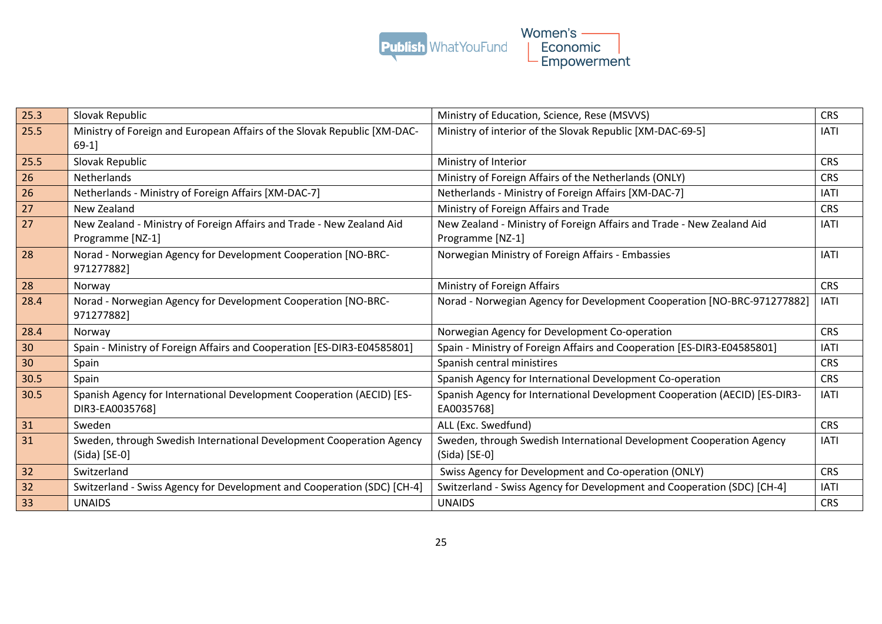

| 25.3 | Slovak Republic                                                                           | Ministry of Education, Science, Rese (MSVVS)                                              | <b>CRS</b>  |
|------|-------------------------------------------------------------------------------------------|-------------------------------------------------------------------------------------------|-------------|
| 25.5 | Ministry of Foreign and European Affairs of the Slovak Republic [XM-DAC-<br>$69-1$ ]      | Ministry of interior of the Slovak Republic [XM-DAC-69-5]                                 | <b>IATI</b> |
| 25.5 | Slovak Republic                                                                           | Ministry of Interior                                                                      | <b>CRS</b>  |
| 26   | <b>Netherlands</b>                                                                        | Ministry of Foreign Affairs of the Netherlands (ONLY)                                     | <b>CRS</b>  |
| 26   | Netherlands - Ministry of Foreign Affairs [XM-DAC-7]                                      | Netherlands - Ministry of Foreign Affairs [XM-DAC-7]                                      | <b>IATI</b> |
| 27   | New Zealand                                                                               | Ministry of Foreign Affairs and Trade                                                     | <b>CRS</b>  |
| 27   | New Zealand - Ministry of Foreign Affairs and Trade - New Zealand Aid<br>Programme [NZ-1] | New Zealand - Ministry of Foreign Affairs and Trade - New Zealand Aid<br>Programme [NZ-1] | <b>IATI</b> |
| 28   | Norad - Norwegian Agency for Development Cooperation [NO-BRC-<br>971277882]               | Norwegian Ministry of Foreign Affairs - Embassies                                         | <b>IATI</b> |
| 28   | Norway                                                                                    | Ministry of Foreign Affairs                                                               | <b>CRS</b>  |
| 28.4 | Norad - Norwegian Agency for Development Cooperation [NO-BRC-<br>971277882]               | Norad - Norwegian Agency for Development Cooperation [NO-BRC-971277882]                   | <b>IATI</b> |
| 28.4 | Norway                                                                                    | Norwegian Agency for Development Co-operation                                             | <b>CRS</b>  |
| 30   | Spain - Ministry of Foreign Affairs and Cooperation [ES-DIR3-E04585801]                   | Spain - Ministry of Foreign Affairs and Cooperation [ES-DIR3-E04585801]                   | <b>IATI</b> |
| 30   | Spain                                                                                     | Spanish central ministires                                                                | <b>CRS</b>  |
| 30.5 | Spain                                                                                     | Spanish Agency for International Development Co-operation                                 | <b>CRS</b>  |
| 30.5 | Spanish Agency for International Development Cooperation (AECID) [ES-<br>DIR3-EA0035768]  | Spanish Agency for International Development Cooperation (AECID) [ES-DIR3-<br>EA0035768]  | <b>IATI</b> |
| 31   | Sweden                                                                                    | ALL (Exc. Swedfund)                                                                       | <b>CRS</b>  |
| 31   | Sweden, through Swedish International Development Cooperation Agency<br>$(Sida)$ $[SE-0]$ | Sweden, through Swedish International Development Cooperation Agency<br>$(Sida)$ $[SE-0]$ | <b>IATI</b> |
| 32   | Switzerland                                                                               | Swiss Agency for Development and Co-operation (ONLY)                                      | <b>CRS</b>  |
| 32   | Switzerland - Swiss Agency for Development and Cooperation (SDC) [CH-4]                   | Switzerland - Swiss Agency for Development and Cooperation (SDC) [CH-4]                   | <b>IATI</b> |
| 33   | <b>UNAIDS</b>                                                                             | <b>UNAIDS</b>                                                                             | <b>CRS</b>  |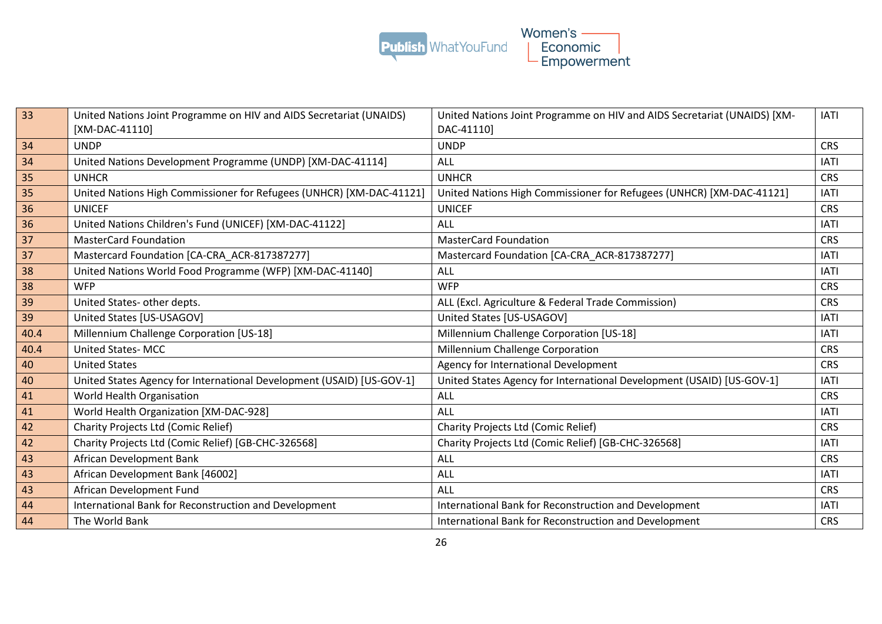

| 33   | United Nations Joint Programme on HIV and AIDS Secretariat (UNAIDS)<br>[XM-DAC-41110] | United Nations Joint Programme on HIV and AIDS Secretariat (UNAIDS) [XM-<br>DAC-41110] | <b>IATI</b> |
|------|---------------------------------------------------------------------------------------|----------------------------------------------------------------------------------------|-------------|
| 34   | <b>UNDP</b>                                                                           | <b>UNDP</b>                                                                            | <b>CRS</b>  |
| 34   | United Nations Development Programme (UNDP) [XM-DAC-41114]                            | <b>ALL</b>                                                                             | <b>IATI</b> |
| 35   | <b>UNHCR</b>                                                                          | <b>UNHCR</b>                                                                           | <b>CRS</b>  |
| 35   | United Nations High Commissioner for Refugees (UNHCR) [XM-DAC-41121]                  | United Nations High Commissioner for Refugees (UNHCR) [XM-DAC-41121]                   | <b>IATI</b> |
| 36   | <b>UNICEF</b>                                                                         | <b>UNICEF</b>                                                                          | <b>CRS</b>  |
| 36   | United Nations Children's Fund (UNICEF) [XM-DAC-41122]                                | ALL                                                                                    | <b>IATI</b> |
| 37   | <b>MasterCard Foundation</b>                                                          | <b>MasterCard Foundation</b>                                                           | <b>CRS</b>  |
| 37   | Mastercard Foundation [CA-CRA_ACR-817387277]                                          | Mastercard Foundation [CA-CRA_ACR-817387277]                                           | <b>IATI</b> |
| 38   | United Nations World Food Programme (WFP) [XM-DAC-41140]                              | ALL                                                                                    | <b>IATI</b> |
| 38   | <b>WFP</b>                                                                            | <b>WFP</b>                                                                             | <b>CRS</b>  |
| 39   | United States- other depts.                                                           | ALL (Excl. Agriculture & Federal Trade Commission)                                     | <b>CRS</b>  |
| 39   | United States [US-USAGOV]                                                             | United States [US-USAGOV]                                                              | <b>IATI</b> |
| 40.4 | Millennium Challenge Corporation [US-18]                                              | Millennium Challenge Corporation [US-18]                                               | <b>IATI</b> |
| 40.4 | <b>United States-MCC</b>                                                              | Millennium Challenge Corporation                                                       | <b>CRS</b>  |
| 40   | <b>United States</b>                                                                  | Agency for International Development                                                   | <b>CRS</b>  |
| 40   | United States Agency for International Development (USAID) [US-GOV-1]                 | United States Agency for International Development (USAID) [US-GOV-1]                  | <b>IATI</b> |
| 41   | World Health Organisation                                                             | ALL                                                                                    | <b>CRS</b>  |
| 41   | World Health Organization [XM-DAC-928]                                                | ALL                                                                                    | <b>IATI</b> |
| 42   | Charity Projects Ltd (Comic Relief)                                                   | Charity Projects Ltd (Comic Relief)                                                    | <b>CRS</b>  |
| 42   | Charity Projects Ltd (Comic Relief) [GB-CHC-326568]                                   | Charity Projects Ltd (Comic Relief) [GB-CHC-326568]                                    | <b>IATI</b> |
| 43   | African Development Bank                                                              | ALL                                                                                    | <b>CRS</b>  |
| 43   | African Development Bank [46002]                                                      | ALL                                                                                    | <b>IATI</b> |
| 43   | African Development Fund                                                              | <b>ALL</b>                                                                             | <b>CRS</b>  |
| 44   | International Bank for Reconstruction and Development                                 | International Bank for Reconstruction and Development                                  | <b>IATI</b> |
| 44   | The World Bank                                                                        | International Bank for Reconstruction and Development                                  | <b>CRS</b>  |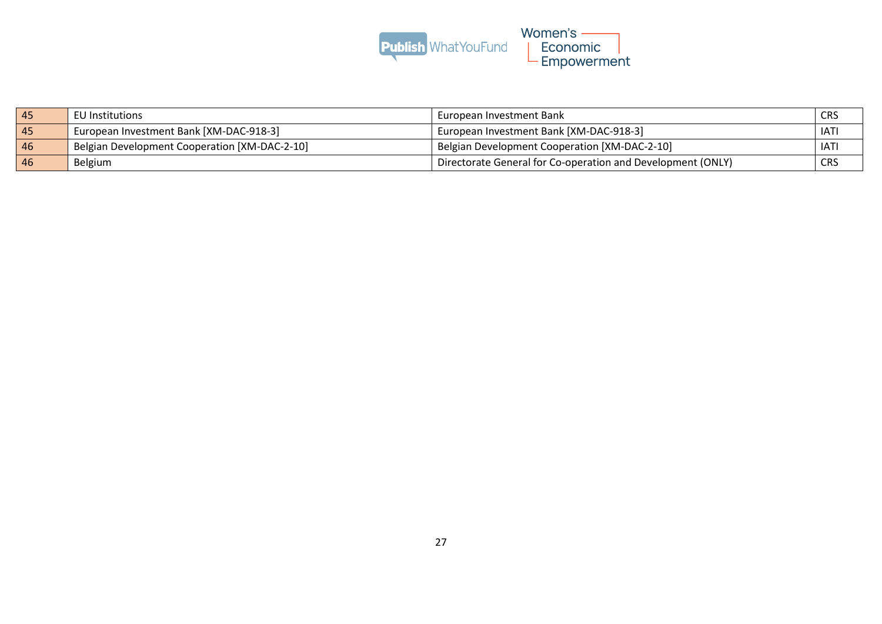

| -45 | EU Institutions                               | European Investment Bank                                    | <b>CRS</b> |
|-----|-----------------------------------------------|-------------------------------------------------------------|------------|
| 45  | European Investment Bank [XM-DAC-918-3]       | European Investment Bank [XM-DAC-918-3]                     | IATI       |
| 46  | Belgian Development Cooperation [XM-DAC-2-10] | Belgian Development Cooperation [XM-DAC-2-10]               | IATI       |
| 46  | Belgium                                       | Directorate General for Co-operation and Development (ONLY) | <b>CRS</b> |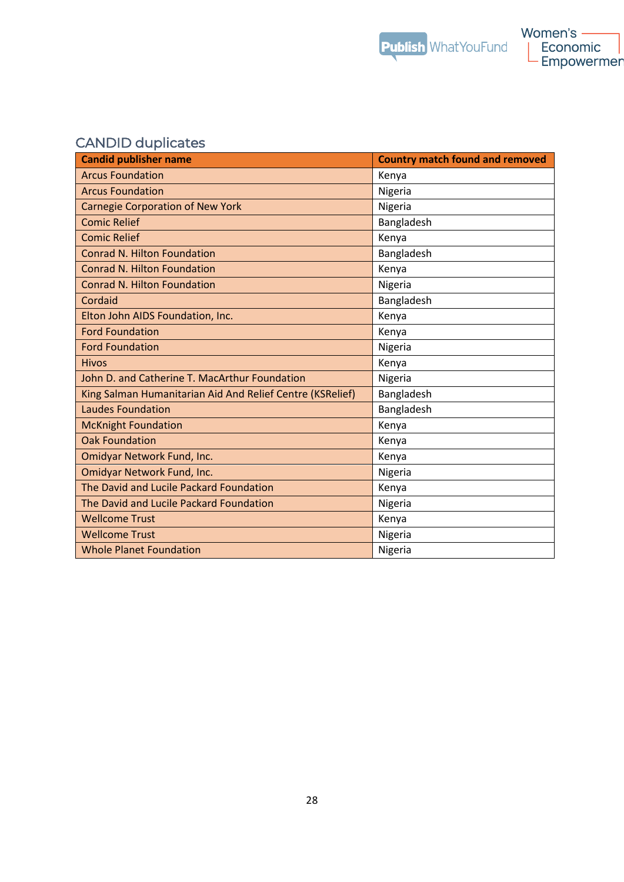## <span id="page-27-0"></span>CANDID duplicates

| <b>Candid publisher name</b>                                            | <b>Country match found and removed</b> |  |  |
|-------------------------------------------------------------------------|----------------------------------------|--|--|
| <b>Arcus Foundation</b>                                                 | Kenya                                  |  |  |
| <b>Arcus Foundation</b>                                                 | Nigeria                                |  |  |
| <b>Carnegie Corporation of New York</b>                                 | Nigeria                                |  |  |
| <b>Comic Relief</b>                                                     | Bangladesh                             |  |  |
| <b>Comic Relief</b>                                                     | Kenya                                  |  |  |
| <b>Conrad N. Hilton Foundation</b>                                      | Bangladesh                             |  |  |
| <b>Conrad N. Hilton Foundation</b>                                      | Kenya                                  |  |  |
| <b>Conrad N. Hilton Foundation</b>                                      | Nigeria                                |  |  |
| Cordaid                                                                 | Bangladesh                             |  |  |
| Elton John AIDS Foundation, Inc.<br>Kenya                               |                                        |  |  |
| <b>Ford Foundation</b>                                                  | Kenya                                  |  |  |
| <b>Ford Foundation</b>                                                  | Nigeria                                |  |  |
| <b>Hivos</b>                                                            | Kenya                                  |  |  |
| John D. and Catherine T. MacArthur Foundation                           | Nigeria                                |  |  |
| Bangladesh<br>King Salman Humanitarian Aid And Relief Centre (KSRelief) |                                        |  |  |
| <b>Laudes Foundation</b><br>Bangladesh                                  |                                        |  |  |
| <b>McKnight Foundation</b>                                              | Kenya                                  |  |  |
| <b>Oak Foundation</b>                                                   | Kenya                                  |  |  |
| Omidyar Network Fund, Inc.                                              | Kenya                                  |  |  |
| Omidyar Network Fund, Inc.                                              | Nigeria                                |  |  |
| The David and Lucile Packard Foundation                                 | Kenya                                  |  |  |
| The David and Lucile Packard Foundation                                 | Nigeria                                |  |  |
| <b>Wellcome Trust</b>                                                   | Kenya                                  |  |  |
| <b>Wellcome Trust</b>                                                   | Nigeria                                |  |  |
| <b>Whole Planet Foundation</b>                                          | Nigeria                                |  |  |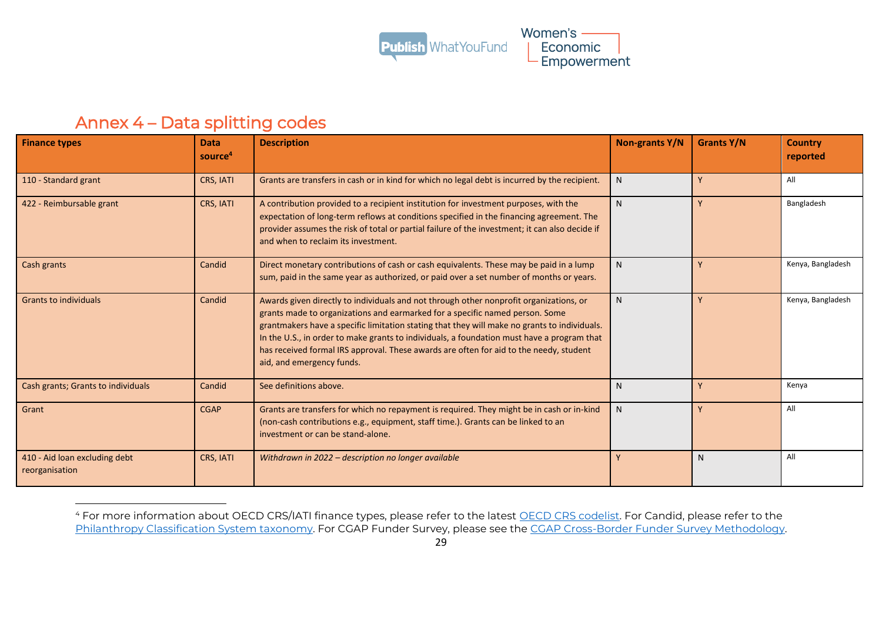

## Annex 4 – Data splitting codes

<span id="page-28-0"></span> $\overline{\phantom{a}}$ 

| <b>Finance types</b>                            | <b>Data</b><br>source <sup>4</sup> | <b>Description</b>                                                                                                                                                                                                                                                                                                                                                                                                                                                                          | <b>Non-grants Y/N</b> | <b>Grants Y/N</b> | <b>Country</b><br>reported |
|-------------------------------------------------|------------------------------------|---------------------------------------------------------------------------------------------------------------------------------------------------------------------------------------------------------------------------------------------------------------------------------------------------------------------------------------------------------------------------------------------------------------------------------------------------------------------------------------------|-----------------------|-------------------|----------------------------|
| 110 - Standard grant                            | CRS, IATI                          | Grants are transfers in cash or in kind for which no legal debt is incurred by the recipient.                                                                                                                                                                                                                                                                                                                                                                                               | N.                    |                   | All                        |
| 422 - Reimbursable grant                        | CRS, IATI                          | A contribution provided to a recipient institution for investment purposes, with the<br>expectation of long-term reflows at conditions specified in the financing agreement. The<br>provider assumes the risk of total or partial failure of the investment; it can also decide if<br>and when to reclaim its investment.                                                                                                                                                                   | N.                    |                   | Bangladesh                 |
| Cash grants                                     | Candid                             | Direct monetary contributions of cash or cash equivalents. These may be paid in a lump<br>sum, paid in the same year as authorized, or paid over a set number of months or years.                                                                                                                                                                                                                                                                                                           | N.                    |                   | Kenya, Bangladesh          |
| <b>Grants to individuals</b>                    | Candid                             | Awards given directly to individuals and not through other nonprofit organizations, or<br>grants made to organizations and earmarked for a specific named person. Some<br>grantmakers have a specific limitation stating that they will make no grants to individuals.<br>In the U.S., in order to make grants to individuals, a foundation must have a program that<br>has received formal IRS approval. These awards are often for aid to the needy, student<br>aid, and emergency funds. | N                     |                   | Kenya, Bangladesh          |
| Cash grants; Grants to individuals              | Candid                             | See definitions above.                                                                                                                                                                                                                                                                                                                                                                                                                                                                      | N                     |                   | Kenya                      |
| Grant                                           | <b>CGAP</b>                        | Grants are transfers for which no repayment is required. They might be in cash or in-kind<br>(non-cash contributions e.g., equipment, staff time.). Grants can be linked to an<br>investment or can be stand-alone.                                                                                                                                                                                                                                                                         | N.                    |                   | All                        |
| 410 - Aid Ioan excluding debt<br>reorganisation | CRS, IATI                          | Withdrawn in 2022 – description no longer available                                                                                                                                                                                                                                                                                                                                                                                                                                         |                       | N                 | All                        |

<sup>&</sup>lt;sup>4</sup> For more information about OECD CRS/IATI finance types, please refer to the latest <u>OECD CRS codelist</u>. For Candid, please refer to the [Philanthropy Classification System taxonomy.](https://taxonomy.candid.org/transaction-type) For CGAP Funder Survey, please see the [CGAP Cross-Border Funder Survey Methodology.](https://www.cgap.org/sites/default/files/research_documents/CGAP_Funder_Survey_2020_Methodology.pdf)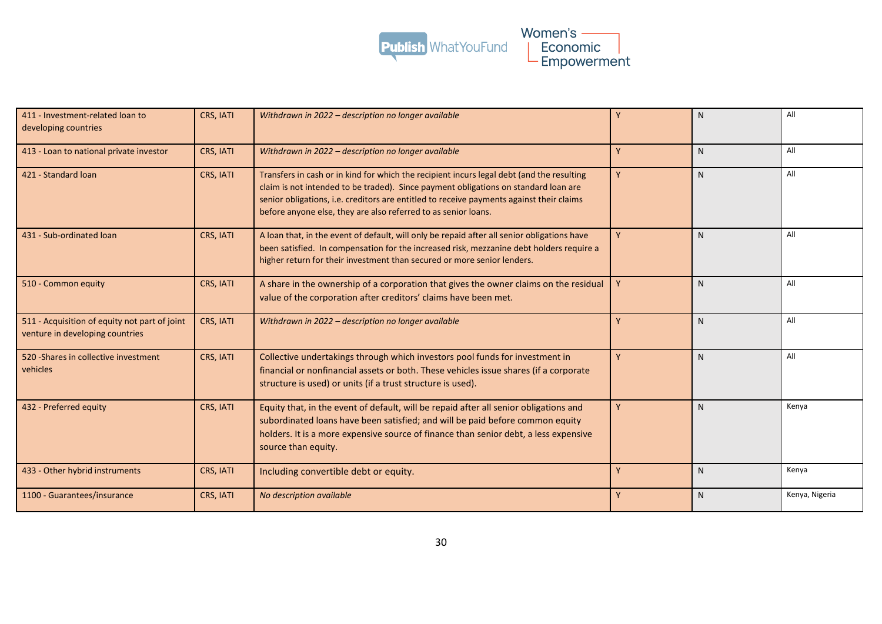

| 411 - Investment-related loan to<br>developing countries                         | CRS, IATI | Withdrawn in 2022 - description no longer available                                                                                                                                                                                                                                                                                                 |              | $\mathsf{N}$ | All            |
|----------------------------------------------------------------------------------|-----------|-----------------------------------------------------------------------------------------------------------------------------------------------------------------------------------------------------------------------------------------------------------------------------------------------------------------------------------------------------|--------------|--------------|----------------|
| 413 - Loan to national private investor                                          | CRS, IATI | Withdrawn in 2022 - description no longer available                                                                                                                                                                                                                                                                                                 | $\mathsf{v}$ | $\mathsf{N}$ | All            |
| 421 - Standard Ioan                                                              | CRS, IATI | Transfers in cash or in kind for which the recipient incurs legal debt (and the resulting<br>Y<br>claim is not intended to be traded). Since payment obligations on standard loan are<br>senior obligations, i.e. creditors are entitled to receive payments against their claims<br>before anyone else, they are also referred to as senior loans. |              | $\mathsf{N}$ | All            |
| 431 - Sub-ordinated loan                                                         | CRS, IATI | A loan that, in the event of default, will only be repaid after all senior obligations have<br>been satisfied. In compensation for the increased risk, mezzanine debt holders require a<br>higher return for their investment than secured or more senior lenders.                                                                                  | Y            | $\mathsf{N}$ | All            |
| 510 - Common equity                                                              | CRS, IATI | A share in the ownership of a corporation that gives the owner claims on the residual<br>value of the corporation after creditors' claims have been met.                                                                                                                                                                                            | Y            | N            | All            |
| 511 - Acquisition of equity not part of joint<br>venture in developing countries | CRS, IATI | Withdrawn in 2022 - description no longer available                                                                                                                                                                                                                                                                                                 | $\mathbf{v}$ | $\mathsf{N}$ | All            |
| 520 - Shares in collective investment<br>vehicles                                | CRS, IATI | Collective undertakings through which investors pool funds for investment in<br>financial or nonfinancial assets or both. These vehicles issue shares (if a corporate<br>structure is used) or units (if a trust structure is used).                                                                                                                | Y            | $\mathsf{N}$ | All            |
| 432 - Preferred equity                                                           | CRS, IATI | Equity that, in the event of default, will be repaid after all senior obligations and<br>subordinated loans have been satisfied; and will be paid before common equity<br>holders. It is a more expensive source of finance than senior debt, a less expensive<br>source than equity.                                                               | Y            | N            | Kenya          |
| 433 - Other hybrid instruments                                                   | CRS, IATI | Including convertible debt or equity.                                                                                                                                                                                                                                                                                                               | Y            | N            | Kenya          |
| 1100 - Guarantees/insurance                                                      | CRS, IATI | No description available                                                                                                                                                                                                                                                                                                                            | $\mathsf{v}$ | N            | Kenya, Nigeria |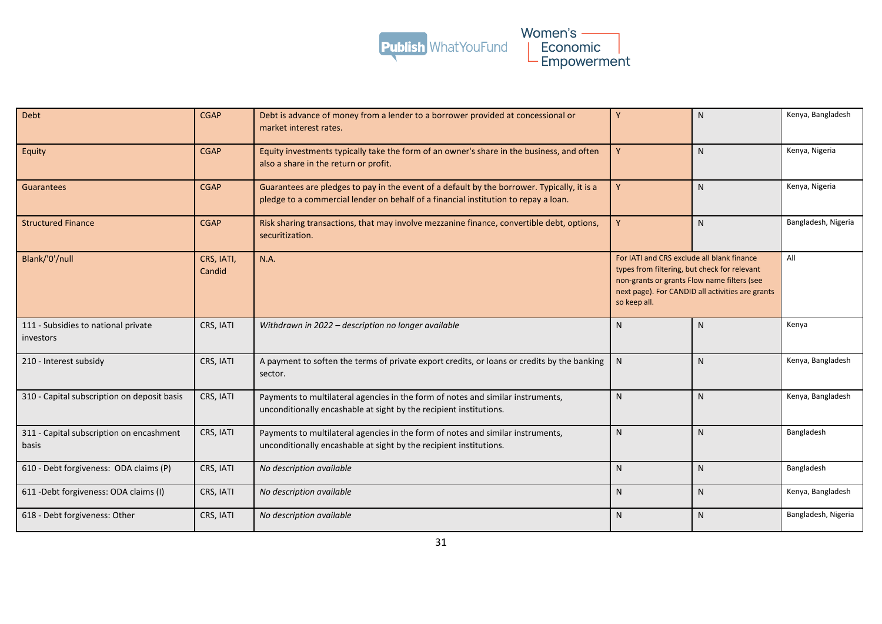

| Debt                                              | <b>CGAP</b>          | Debt is advance of money from a lender to a borrower provided at concessional or<br>market interest rates.                                                                         | Y                                                                                                                                                                                                             | N.        | Kenya, Bangladesh   |
|---------------------------------------------------|----------------------|------------------------------------------------------------------------------------------------------------------------------------------------------------------------------------|---------------------------------------------------------------------------------------------------------------------------------------------------------------------------------------------------------------|-----------|---------------------|
| Equity                                            | <b>CGAP</b>          | Equity investments typically take the form of an owner's share in the business, and often<br>also a share in the return or profit.                                                 | Y                                                                                                                                                                                                             | N.        | Kenya, Nigeria      |
| Guarantees                                        | <b>CGAP</b>          | Guarantees are pledges to pay in the event of a default by the borrower. Typically, it is a<br>pledge to a commercial lender on behalf of a financial institution to repay a loan. | Y                                                                                                                                                                                                             | N.        | Kenya, Nigeria      |
| <b>Structured Finance</b>                         | <b>CGAP</b>          | Risk sharing transactions, that may involve mezzanine finance, convertible debt, options,<br>securitization.                                                                       | Y                                                                                                                                                                                                             | N.        | Bangladesh, Nigeria |
| Blank/'0'/null                                    | CRS, IATI,<br>Candid | N.A.                                                                                                                                                                               | For IATI and CRS exclude all blank finance<br>types from filtering, but check for relevant<br>non-grants or grants Flow name filters (see<br>next page). For CANDID all activities are grants<br>so keep all. |           | All                 |
| 111 - Subsidies to national private<br>investors  | CRS, IATI            | Withdrawn in 2022 - description no longer available                                                                                                                                | N                                                                                                                                                                                                             | ${\sf N}$ | Kenya               |
| 210 - Interest subsidy                            | CRS, IATI            | A payment to soften the terms of private export credits, or loans or credits by the banking<br>sector.                                                                             | N                                                                                                                                                                                                             | N.        | Kenya, Bangladesh   |
| 310 - Capital subscription on deposit basis       | CRS, IATI            | Payments to multilateral agencies in the form of notes and similar instruments,<br>unconditionally encashable at sight by the recipient institutions.                              | N                                                                                                                                                                                                             | N.        | Kenya, Bangladesh   |
| 311 - Capital subscription on encashment<br>basis | CRS, IATI            | Payments to multilateral agencies in the form of notes and similar instruments,<br>unconditionally encashable at sight by the recipient institutions.                              | N                                                                                                                                                                                                             | N         | Bangladesh          |
| 610 - Debt forgiveness: ODA claims (P)            | CRS, IATI            | No description available                                                                                                                                                           | N                                                                                                                                                                                                             | N.        | Bangladesh          |
| 611 - Debt forgiveness: ODA claims (I)            | CRS, IATI            | No description available                                                                                                                                                           | N                                                                                                                                                                                                             | N         | Kenya, Bangladesh   |
| 618 - Debt forgiveness: Other                     | CRS, IATI            | No description available                                                                                                                                                           | N                                                                                                                                                                                                             | N         | Bangladesh, Nigeria |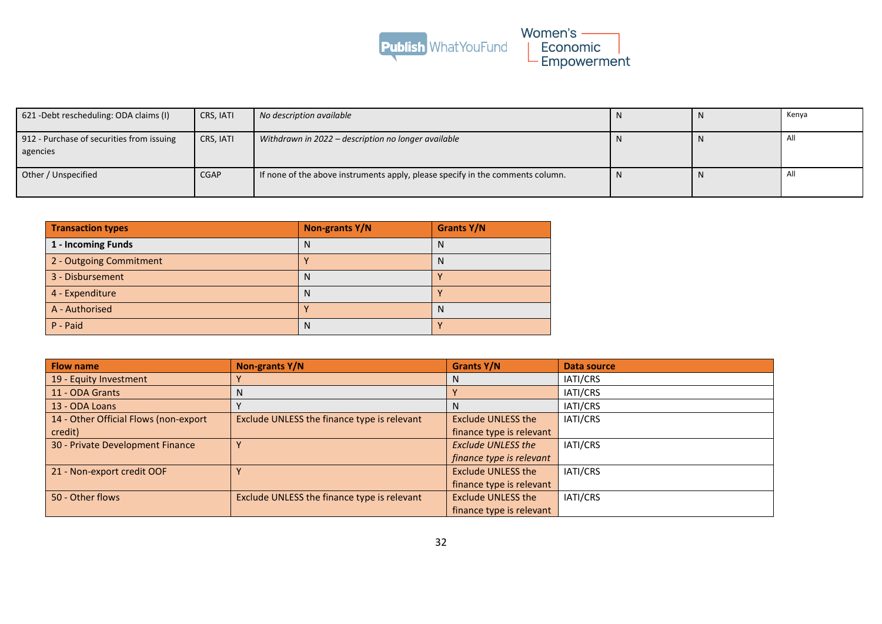

| 621 - Debt rescheduling: ODA claims (I)               | CRS, IATI   | No description available                                                       |  | Kenya |
|-------------------------------------------------------|-------------|--------------------------------------------------------------------------------|--|-------|
| 912 - Purchase of securities from issuing<br>agencies | CRS, IATI   | Withdrawn in 2022 – description no longer available                            |  | All   |
| Other / Unspecified                                   | <b>CGAP</b> | If none of the above instruments apply, please specify in the comments column. |  | All   |

| <b>Transaction types</b> | Non-grants Y/N | <b>Grants Y/N</b> |
|--------------------------|----------------|-------------------|
| 1 - Incoming Funds       | N              | N                 |
| 2 - Outgoing Commitment  |                | N                 |
| 3 - Disbursement         | N              |                   |
| 4 - Expenditure          | N              |                   |
| A - Authorised           |                | N                 |
| P - Paid                 | N              |                   |

| <b>Flow name</b>                      | <b>Non-grants Y/N</b>                       | <b>Grants Y/N</b>         | Data source |
|---------------------------------------|---------------------------------------------|---------------------------|-------------|
| 19 - Equity Investment                |                                             |                           | IATI/CRS    |
| 11 - ODA Grants                       |                                             |                           | IATI/CRS    |
| 13 - ODA Loans                        |                                             |                           | IATI/CRS    |
| 14 - Other Official Flows (non-export | Exclude UNLESS the finance type is relevant | <b>Exclude UNLESS the</b> | IATI/CRS    |
| credit)                               |                                             | finance type is relevant  |             |
| 30 - Private Development Finance      |                                             | <b>Exclude UNLESS the</b> | IATI/CRS    |
|                                       |                                             | finance type is relevant  |             |
| 21 - Non-export credit OOF            |                                             | Exclude UNLESS the        | IATI/CRS    |
|                                       |                                             | finance type is relevant  |             |
| 50 - Other flows                      | Exclude UNLESS the finance type is relevant | <b>Exclude UNLESS the</b> | IATI/CRS    |
|                                       |                                             | finance type is relevant  |             |